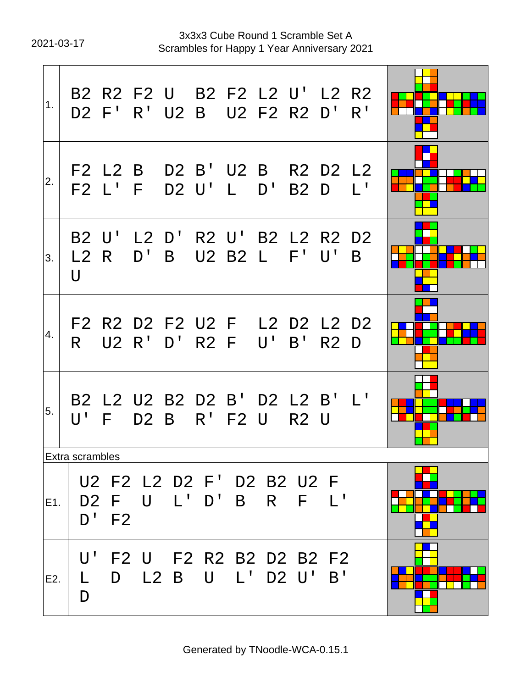$\mathbf{r}$ 

2021-03-17 Scrambles for Happy 1 Year Anniversary 2021 3x3x3 Cube Round 1 Scramble Set A

| 1.  |                                    |         |         |                  |           | B2 R2 F2 U B2 F2 L2 U' L2 R2<br>D2 F' R' U2 B U2 F2 R2 D' R' |                  |                |  |
|-----|------------------------------------|---------|---------|------------------|-----------|--------------------------------------------------------------|------------------|----------------|--|
| 2.  |                                    |         | F2 L2 B |                  |           | D2 B' U2 B R2 D2 L2<br>F2 L' F D2 U' L D' B2 D               |                  | $L^1$          |  |
| 3.  | L2 R<br>U                          |         | $D'$ B  |                  |           | B2 U' L2 D' R2 U' B2 L2 R2 D2<br>U2 B2 L F' U'               |                  | B              |  |
| 4.  | $\mathsf{R}$                       |         |         | U2 R' D' R2 F    |           | F2 R2 D2 F2 U2 F L2 D2 L2 D2<br>U' B' R2 D                   |                  |                |  |
| 5.  | U'                                 | F       |         | D <sub>2</sub> B |           | B2 L2 U2 B2 D2 B' D2 L2 B'<br>$R'$ F2 U                      | R <sub>2</sub> U | $\mathbb{L}^1$ |  |
|     | Extra scrambles                    |         |         |                  |           |                                                              |                  |                |  |
| E1. |                                    | $D'$ F2 |         | D2 F U L' D' B   |           | U2 F2 L2 D2 F' D2 B2 U2 F                                    | $R$ $F$ $L'$     |                |  |
| E2. | $\mathsf{U}^{\, \prime}$<br>L<br>D | D       |         | L2 B             | $\bigcup$ | F2 U F2 R2 B2 D2 B2 F2<br>$L'$ D2 U' B'                      |                  |                |  |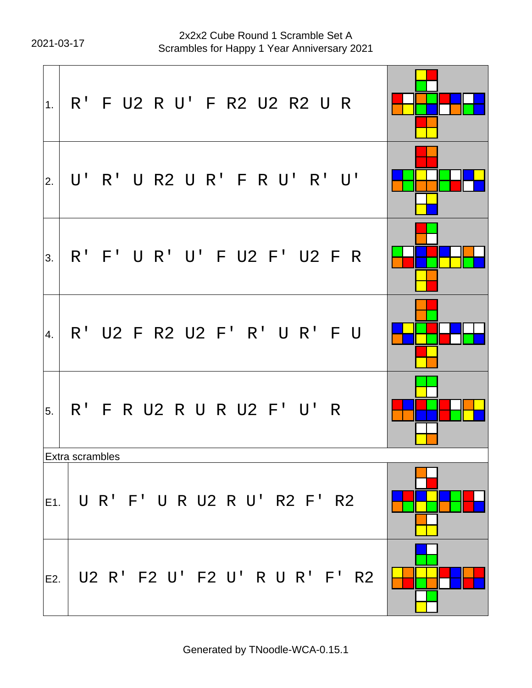2021-03-17 Scrambles for Happy 1 Year Anniversary 2021 2x2x2 Cube Round 1 Scramble Set A

| 1.     | R' F U2 R U' F R2 U2 R2 U R    |  |
|--------|--------------------------------|--|
| 2.     | U' R' U R2 U R' F R U' R' U'   |  |
| 3.     | R' F' U R' U' F U2 F' U2 F R   |  |
| 4.     | R' U2 F R2 U2 F' R' U R' F U   |  |
| 5.     | R' F R U2 R U R U2 F' U' R     |  |
|        | Extra scrambles                |  |
| lE1. I | U R' F' U R U2 R U' R2 F' R2   |  |
| E2.    | U2 R' F2 U' F2 U' R U R' F' R2 |  |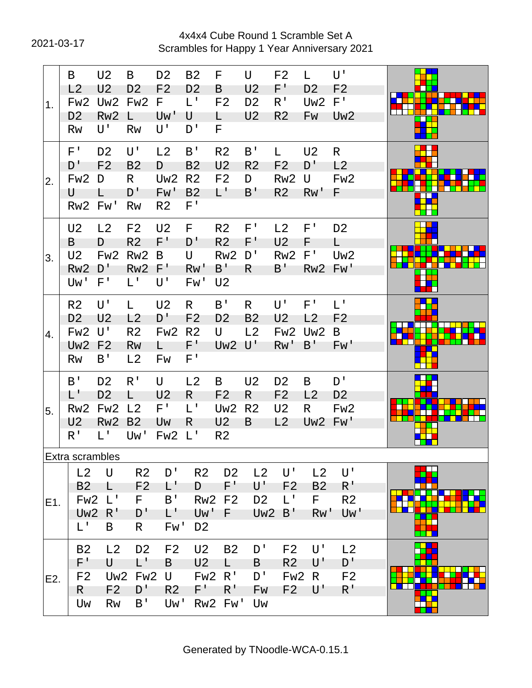2021-03-17 Scrambles for Happy 1 Year Anniversary 2021 4x4x4 Cube Round 1 Scramble Set A

| 1.  | B<br>L2<br>Fw <sub>2</sub><br>D <sub>2</sub><br>Rw                                  | U <sub>2</sub><br>U <sub>2</sub><br>Uw <sub>2</sub><br>Rw <sub>2</sub><br>U' | B<br>D <sub>2</sub><br>Fw <sub>2</sub><br>$\mathsf{L}$<br><b>Rw</b>                        | D <sub>2</sub><br>F <sub>2</sub><br>F.<br>Uw'<br>U'             | <b>B2</b><br>D <sub>2</sub><br>$L^1$<br>U<br>D'                       | F<br>B<br>F <sub>2</sub><br>L<br>F.                                         | U<br>U <sub>2</sub><br>D <sub>2</sub><br>U <sub>2</sub> | F <sub>2</sub><br>F'<br>R <sup>T</sup><br>R <sub>2</sub>              | L.<br>D <sub>2</sub><br>Uw <sub>2</sub><br>Fw        | U'<br>F <sub>2</sub><br>$F^{\prime}$<br>Uw <sub>2</sub> |  |
|-----|-------------------------------------------------------------------------------------|------------------------------------------------------------------------------|--------------------------------------------------------------------------------------------|-----------------------------------------------------------------|-----------------------------------------------------------------------|-----------------------------------------------------------------------------|---------------------------------------------------------|-----------------------------------------------------------------------|------------------------------------------------------|---------------------------------------------------------|--|
| 2.  | $F^+$<br>D'<br>Fw2<br>U<br>Rw <sub>2</sub>                                          | D <sub>2</sub><br>F <sub>2</sub><br>D<br>Fw'                                 | U'<br><b>B2</b><br>$\mathsf{R}$<br>D'<br>Rw                                                | L <sub>2</sub><br>D<br>Uw <sub>2</sub><br>Fw'<br>R <sub>2</sub> | B'<br>B <sub>2</sub><br>R <sub>2</sub><br><b>B2</b><br>$F^+$          | R <sub>2</sub><br>U <sub>2</sub><br>F <sub>2</sub><br>$L^+$                 | B'<br>R <sub>2</sub><br>D<br>B'                         | L<br>F <sub>2</sub><br>Rw <sub>2</sub><br>R <sub>2</sub>              | U <sub>2</sub><br>D'<br>U<br>RW'                     | R.<br>L2<br>Fw2<br>F                                    |  |
| 3.  | U <sub>2</sub><br>B<br>U <sub>2</sub><br>Rw <sub>2</sub><br>Uw'                     | L2<br>D<br>Fw <sub>2</sub><br>D'<br>$F^{\prime}$                             | F <sub>2</sub><br>R <sub>2</sub><br>Rw <sub>2</sub><br>Rw <sub>2</sub><br>$L^{\mathsf{T}}$ | U <sub>2</sub><br>F'<br>B<br>$F^+$<br>U'                        | F.<br>D'<br>U<br>RW'<br>Fw'                                           | R <sub>2</sub><br>R <sub>2</sub><br>Rw <sub>2</sub><br>B'<br>U <sub>2</sub> | $F^{\perp}$<br>F'<br>D'<br>R.                           | L2<br>U <sub>2</sub><br>Rw <sub>2</sub><br>B'                         | $F^{\intercal}$<br>F<br>$F^{\prime}$<br>Rw2 Fw'      | D <sub>2</sub><br>L.<br>Uw2                             |  |
| 4.  | R <sub>2</sub><br>D <sub>2</sub><br>Fw <sub>2</sub><br>Uw <sub>2</sub><br><b>Rw</b> | U'<br>U <sub>2</sub><br>U'<br>F <sub>2</sub><br>B'                           | L.<br>L2<br>R <sub>2</sub><br><b>Rw</b><br>L2                                              | U <sub>2</sub><br>D'<br>Fw <sub>2</sub><br>L.<br>Fw             | $\mathsf{R}$<br>F <sub>2</sub><br>R <sub>2</sub><br>F'<br>$F^{\perp}$ | B'<br>D <sub>2</sub><br>U<br>Uw2 U'                                         | $\mathsf{R}$<br><b>B2</b><br>L2                         | U'<br>U <sub>2</sub><br>Fw <sub>2</sub><br>Rw'                        | $F^{\perp}$<br>L2<br>Uw <sub>2</sub><br>$B^{\prime}$ | $L^{\mathsf{T}}$<br>F <sub>2</sub><br>B<br>Fw'          |  |
| 5.  | B <sup>T</sup><br>L'<br>Rw <sub>2</sub><br>U <sub>2</sub><br>R <sup>1</sup>         | D <sub>2</sub><br>D <sub>2</sub><br>Fw <sub>2</sub><br>Rw <sub>2</sub><br>L' | R <sup>1</sup><br>L.<br>L <sub>2</sub><br>B <sub>2</sub><br>Uw'                            | U<br>U <sub>2</sub><br>$F^{\intercal}$<br>Uw<br>Fw <sub>2</sub> | L2<br>$\mathsf{R}$<br>$L^1$<br>R<br>$L^1$                             | B<br>F <sub>2</sub><br>Uw <sub>2</sub><br>U <sub>2</sub><br>R <sub>2</sub>  | U <sub>2</sub><br>R.<br>R <sub>2</sub><br>B             | D <sub>2</sub><br>F <sub>2</sub><br>U <sub>2</sub><br>L2              | B<br>L2<br>R.<br>Uw <sub>2</sub> Fw'                 | D'<br>D <sub>2</sub><br>Fw <sub>2</sub>                 |  |
|     | Extra scrambles                                                                     |                                                                              |                                                                                            |                                                                 |                                                                       |                                                                             |                                                         |                                                                       |                                                      |                                                         |  |
| E1. | L2<br><b>B2</b><br>Fw <sub>2</sub><br>Uw <sub>2</sub><br>$L^+$                      | U<br>L<br>$L^{\perp}$<br>R <sup>1</sup><br>B                                 | R <sub>2</sub><br>F <sub>2</sub><br>F.<br>D'<br>R                                          | D'<br>L'<br>B'<br>L'<br>Fw'                                     | R <sub>2</sub><br>D<br>Uw'<br>D <sub>2</sub>                          | D <sub>2</sub><br>$F^+$<br><b>Rw2 F2</b><br>F                               | L2<br>U'<br>D <sub>2</sub><br>Uw <sub>2</sub>           | U'<br>F <sub>2</sub><br>$L^{\perp}$<br>B'                             | L2<br><b>B2</b><br>F<br>RW'                          | $U^{\dagger}$<br>$R^{\perp}$<br>R <sub>2</sub><br>Uw'   |  |
| E2. | <b>B2</b><br>F'<br>F <sub>2</sub><br>$\mathsf{R}$<br>Uw                             | L2<br>U<br>Uw <sub>2</sub><br>F <sub>2</sub><br>Rw                           | D <sub>2</sub><br>L'<br>Fw <sub>2</sub><br>D'<br>B'                                        | F <sub>2</sub><br>B<br>U<br>R <sub>2</sub><br>Uw'               | U <sub>2</sub><br>U <sub>2</sub><br>Fw <sub>2</sub><br>$F^+$          | <b>B2</b><br>L<br>R'<br>$R^{\prime}$<br>Rw2 Fw'                             | D'<br>B<br>D'<br>Fw<br>Uw                               | F <sub>2</sub><br>R <sub>2</sub><br>Fw <sub>2</sub><br>F <sub>2</sub> | U'<br>U'<br>R<br>$\mathsf{U}^{\mathsf{T}}$           | L2<br>D'<br>F <sub>2</sub><br>$R^{\perp}$               |  |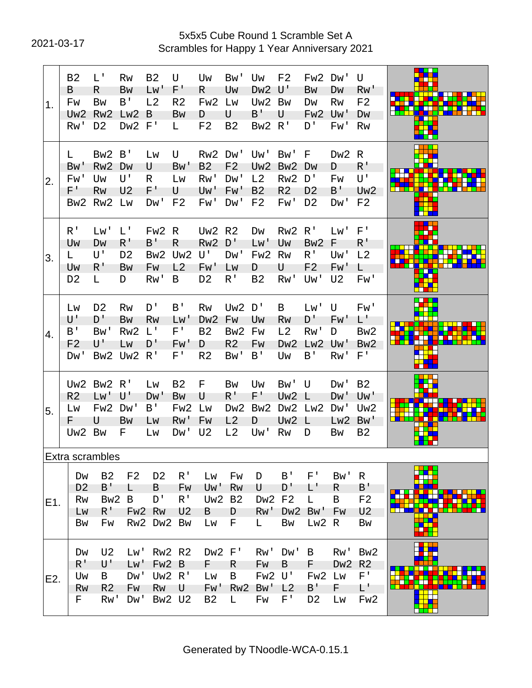# 2021-03-17 Scrambles for Happy 1 Year Anniversary 2021 5x5x5 Cube Round 1 Scramble Set A

| 1.  | <b>B2</b><br>B<br>Fw<br>Uw <sub>2</sub><br>Rw'                   | L'<br>R.<br><b>Bw</b><br>Rw <sub>2</sub><br>D <sub>2</sub>               | <b>Rw</b><br><b>Bw</b><br>B'<br>Lw2<br>Dw <sub>2</sub>               | <b>B2</b><br>Lw'<br>L2<br>B<br>F'                     | U<br>F'<br>R <sub>2</sub><br><b>Bw</b><br>L                    | Uw<br>R.<br>Fw <sub>2</sub><br>D<br>F <sub>2</sub>                | Bw'<br>Uw<br>Lw<br>U<br>B <sub>2</sub>                            | Uw<br>Dw <sub>2</sub><br>Uw <sub>2</sub><br>B'<br>Bw <sub>2</sub> | F <sub>2</sub><br>U'<br>Bw<br>U<br>R'                              | Fw <sub>2</sub><br>Bw<br>Dw<br>Fw <sub>2</sub><br>D'                    | Dw'<br>DW<br><b>Rw</b><br>Uw'<br>Fw'        | U<br>RW'<br>F <sub>2</sub><br>DW<br><b>Rw</b>                       |            |
|-----|------------------------------------------------------------------|--------------------------------------------------------------------------|----------------------------------------------------------------------|-------------------------------------------------------|----------------------------------------------------------------|-------------------------------------------------------------------|-------------------------------------------------------------------|-------------------------------------------------------------------|--------------------------------------------------------------------|-------------------------------------------------------------------------|---------------------------------------------|---------------------------------------------------------------------|------------|
| 2.  | L.<br>Bw'<br>Fw'<br>$F^+$<br>Bw <sub>2</sub>                     | Bw <sub>2</sub><br>Rw <sub>2</sub><br>Uw<br><b>Rw</b><br>Rw <sub>2</sub> | B'<br>Dw<br>U'<br>U <sub>2</sub><br>Lw                               | LW<br>U<br>R<br>F'<br>Dw'                             | U<br>Bw'<br>Lw<br>U<br>F <sub>2</sub>                          | Rw <sub>2</sub><br>B <sub>2</sub><br>Rw'<br>Uw'<br>Fw'            | Dw'<br>F <sub>2</sub><br>Dw'<br>Fw'<br>Dw'                        | Uw'<br>Uw <sub>2</sub><br>L2<br>B <sub>2</sub><br>F <sub>2</sub>  | Bw'<br>Bw <sub>2</sub><br>Rw <sub>2</sub><br>R <sub>2</sub><br>Fw' | F<br>D <sub>W</sub><br>D'<br>D <sub>2</sub><br>D <sub>2</sub>           | Dw <sub>2</sub><br>D<br>Fw<br>B'<br>Dw'     | R.<br>R'<br>U'<br>Uw <sub>2</sub><br>F <sub>2</sub>                 |            |
| 3.  | R <sup>T</sup><br>Uw<br>L.<br>Uw<br>D <sub>2</sub>               | Lw'<br>DW<br>U'<br>R'<br>L                                               | $L^{\mathsf{T}}$<br>$R^{\prime}$<br>D <sub>2</sub><br><b>Bw</b><br>D | Fw <sub>2</sub><br>B'<br>Bw <sub>2</sub><br>Fw<br>Rw' | R<br>R<br>Uw <sub>2</sub><br>L2<br>B                           | Uw <sub>2</sub><br>Rw <sub>2</sub><br>U'<br>Fw'<br>D <sub>2</sub> | R <sub>2</sub><br>D'<br>Dw'<br>LW<br>R <sup>T</sup>               | Dw<br>Lw'<br>Fw <sub>2</sub><br>D<br><b>B2</b>                    | Rw <sub>2</sub><br>Uw<br>Rw<br>U<br>Rw'                            | R <sup>1</sup><br>Bw <sub>2</sub><br>$R^{\,I}$<br>F <sub>2</sub><br>Uw' | Lw'<br>F<br>Uw'<br>Fw'<br>U <sub>2</sub>    | $F^{\prime}$<br>$R^{\, \prime}$<br>L2<br>L.<br>Fw'                  |            |
| 4.  | Lw<br>U'<br>B'<br>F <sub>2</sub><br>Dw'                          | D <sub>2</sub><br>D'<br>Bw'<br>U'<br>Bw <sub>2</sub>                     | Rw<br><b>Bw</b><br>Rw <sub>2</sub><br>LW<br>Uw <sub>2</sub>          | D'<br><b>Rw</b><br>$L^1$<br>D'<br>R'                  | B'<br>Lw'<br>$F^{\prime}$<br>Fw'<br>$F^{\perp}$                | <b>Rw</b><br>D <sub>w</sub> 2<br><b>B2</b><br>D<br>R <sub>2</sub> | Uw <sub>2</sub><br>Fw<br>Bw <sub>2</sub><br>R <sub>2</sub><br>Bw' | D'<br>Uw<br>Fw<br>Fw<br>B'                                        | В<br>Rw<br>L <sub>2</sub><br>D <sub>w</sub> 2<br>Uw                | Lw'<br>D'<br>Rw'<br>Lw <sub>2</sub><br>B'                               | U<br>Fw'<br>D<br>Uw'<br>Rw'                 | Fw'<br>L'<br>Bw <sub>2</sub><br>Bw <sub>2</sub><br>$F^{\perp}$      | <b>THE</b> |
| 5.  | Uw <sub>2</sub><br>R <sub>2</sub><br>LW<br>F.<br>Uw <sub>2</sub> | Bw <sub>2</sub><br>Lw'<br>Fw <sub>2</sub><br>U<br><b>Bw</b>              | R <sup>1</sup><br>U'<br>Dw'<br>Bw<br>F.                              | LW<br>Dw'<br>$B^{\prime}$<br>LW<br>Lw                 | <b>B2</b><br>Bw<br>Fw <sub>2</sub><br>Rw'<br>Dw'               | F<br>U<br>Lw<br>Fw<br>U <sub>2</sub>                              | <b>Bw</b><br>$R^{\, \prime}$<br>D <sub>w</sub> 2<br>L2<br>L2      | Uw<br>$F^+$<br>Bw <sub>2</sub><br>D<br>Uw'                        | Bw'<br>Uw2 L<br>Dw <sub>2</sub><br>Uw <sub>2</sub><br>Rw           | U<br>Lw <sub>2</sub><br>L<br>D                                          | Dw'<br>D <sub>W</sub> '<br>Dw'<br>Lw2<br>Bw | <b>B2</b><br>Uw'<br>Uw <sub>2</sub><br>Bw'<br><b>B2</b>             |            |
|     | Extra scrambles                                                  |                                                                          |                                                                      |                                                       |                                                                |                                                                   |                                                                   |                                                                   |                                                                    |                                                                         |                                             |                                                                     |            |
| E1. | Dw<br>D <sub>2</sub><br>Rw<br>Lw<br>Bw                           | <b>B2</b><br>B'<br>Bw <sub>2</sub><br>$R^{\prime}$<br>Fw                 | F <sub>2</sub><br>L.<br>B<br>Fw <sub>2</sub>                         | D <sub>2</sub><br>B<br>D'<br>Rw<br>Rw2 Dw2            | R <sup>T</sup><br>Fw<br>$R^{\prime}$<br>U <sub>2</sub><br>Bw   | Lw<br>Uw'<br>Uw <sub>2</sub><br>B<br>Lw                           | Fw<br><b>Rw</b><br><b>B2</b><br>D<br>F                            | D<br>U<br>Dw <sub>2</sub><br>RW'<br>L.                            | B'<br>D'<br>F <sub>2</sub><br>Bw                                   | $F^+$<br>L'<br>L.<br>Dw2 Bw'<br>$Lw2$ R                                 | Bw'<br>R.<br>B<br>Fw                        | $\mathsf{R}$<br>B'<br>F <sub>2</sub><br>U <sub>2</sub><br>Bw        | $\Box$     |
| E2. | Dw<br>$R^{\prime}$<br>Uw<br>Rw<br>F.                             | U <sub>2</sub><br>U'<br>B<br>R <sub>2</sub><br>Rw'                       | Lw'<br>Lw'<br>Dw'<br>Fw<br>Dw'                                       | Fw <sub>2</sub><br>Rw                                 | <b>Rw2 R2</b><br>B<br>Uw <sub>2</sub> R'<br>U<br><b>Bw2 U2</b> | DW2 F'<br>F<br>Lw<br>Fw'<br><b>B2</b>                             | R<br>B<br>Rw <sub>2</sub><br>L.                                   | Rw'<br>Fw<br>Fw <sub>2</sub><br>Bw'<br>Fw                         | Dw '<br>B<br>U'<br>L2<br>$F^+$                                     | B<br>F.<br>Fw <sub>2</sub><br>B'<br>D <sub>2</sub>                      | Rw'<br>D <sub>w</sub> 2<br>Lw<br>F.<br>Lw   | Bw <sub>2</sub><br>R <sub>2</sub><br>$F^+$<br>L'<br>Fw <sub>2</sub> |            |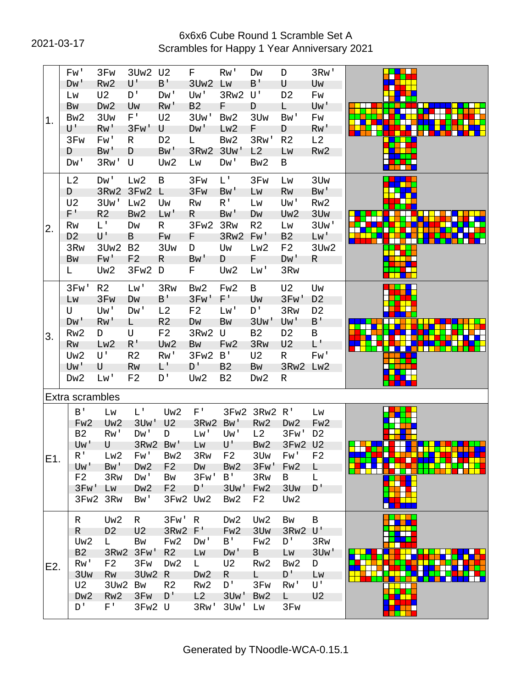# 2021-03-17 Scrambles for Happy 1 Year Anniversary 2021 6x6x6 Cube Round 1 Scramble Set A

|     |   | Fw'                   | 3Fw                      | 3Uw2 U2           |                 | F                 | Rw'                       | Dw                | D               | 3Rw'                      |  |
|-----|---|-----------------------|--------------------------|-------------------|-----------------|-------------------|---------------------------|-------------------|-----------------|---------------------------|--|
|     |   | D <sub>W</sub> '      | Rw <sub>2</sub>          | U'                | B'              | 3Uw <sub>2</sub>  | Lw                        | B'                | U               | Uw                        |  |
|     |   | LW                    | U <sub>2</sub>           | D'                | Dw'             | Uw'               | 3Rw2                      | U'                | D <sub>2</sub>  | Fw                        |  |
|     |   | Bw                    | Dw <sub>2</sub>          | Uw                | Rw'             | B <sub>2</sub>    | F.                        | D                 |                 | Uw'                       |  |
|     |   |                       |                          |                   |                 |                   |                           |                   | L.              |                           |  |
| 1.  |   | Bw <sub>2</sub>       | 3U <sub>w</sub>          | $F^{\perp}$       | U <sub>2</sub>  | 3U <sub>w</sub> ' | Bw <sub>2</sub>           | 3U <sub>w</sub>   | Bw'             | Fw                        |  |
|     |   | U'                    | Rw'                      | 3Fw'              | U               | D <sub>W</sub> '  | Lw <sub>2</sub>           | F                 | D               | Rw'                       |  |
|     |   | 3F <sub>W</sub>       | Fw'                      | R.                | D <sub>2</sub>  | L                 | Bw <sub>2</sub>           | 3Rw'              | R <sub>2</sub>  | L2                        |  |
|     | D |                       | Bw'                      | D                 | B <sub>w</sub>  | 3Rw <sub>2</sub>  | 3U <sub>w</sub> '         | L2                | Lw              | Rw <sub>2</sub>           |  |
|     |   | Dw'                   | 3Rw'                     | U                 | Uw <sub>2</sub> | Lw                | Dw'                       | Bw <sub>2</sub>   | B               |                           |  |
|     |   | L2                    | Dw'                      | Lw2               | B               | 3F <sub>W</sub>   | L'                        | 3F <sub>w</sub>   | Lw              | 3U <sub>w</sub>           |  |
|     | D |                       | 3Rw <sub>2</sub>         | 3Fw <sub>2</sub>  | Г               | 3F <sub>w</sub>   | Bw'                       | Lw                | Rw              | Bw'                       |  |
|     |   | U <sub>2</sub>        | 3U <sub>w</sub> '        | Lw2               | Uw              | <b>Rw</b>         | $R^{\perp}$               | Lw                | Uw'             | Rw <sub>2</sub>           |  |
|     |   | F'                    | R <sub>2</sub>           | Bw <sub>2</sub>   | L <sub>M</sub>  | R.                | Bw'                       |                   | Uw <sub>2</sub> | 3U <sub>w</sub>           |  |
|     |   |                       |                          |                   |                 |                   |                           | DW                |                 |                           |  |
| 2.  |   | <b>Rw</b>             | L'                       | Dw                | $\mathsf{R}$    | 3Fw2              | 3R <sub>W</sub>           | R <sub>2</sub>    | Lw              | 3Uw'                      |  |
|     |   | D <sub>2</sub>        | U'                       | B                 | Fw              | F.                | 3Rw <sub>2</sub>          | Fw'               | B <sub>2</sub>  | Lw'                       |  |
|     |   | 3R <sub>W</sub>       | 3Uw <sub>2</sub>         | <b>B2</b>         | 3U <sub>w</sub> | D                 | Uw                        | Lw <sub>2</sub>   | F <sub>2</sub>  | 3Uw2                      |  |
|     |   | Bw                    | Fw'                      | F <sub>2</sub>    | R               | Bw'               | D                         | F.                | D <sub>W</sub>  | R.                        |  |
|     | L |                       | Uw <sub>2</sub>          | 3Fw <sub>2</sub>  | D               | F.                | Uw <sub>2</sub>           | Lw'               | 3R <sub>W</sub> |                           |  |
|     |   | 3Fw'                  | R <sub>2</sub>           | Lw'               | 3R <sub>W</sub> | Bw <sub>2</sub>   | Fw <sub>2</sub>           | B                 | U <sub>2</sub>  | Uw                        |  |
|     |   | Lw                    | 3F <sub>W</sub>          | Dw                | $B^{\dagger}$   | 3Fw'              | $F^+$                     | Uw                | 3Fw'            | D <sub>2</sub>            |  |
|     | U |                       | Uw'                      | Dw'               | L2              | F <sub>2</sub>    | Lw'                       | D'                | 3R <sub>W</sub> | D <sub>2</sub>            |  |
|     |   |                       |                          |                   |                 |                   |                           |                   |                 |                           |  |
|     |   | D <sub>M</sub>        | Rw'                      | L.                | R <sub>2</sub>  | DW                | Bw                        | 3U <sub>w</sub> ' | Uw'             | $B^{\prime}$              |  |
| 3.  |   | Rw <sub>2</sub>       | D                        | U                 | F <sub>2</sub>  | 3Rw2              | U                         | <b>B2</b>         | D <sub>2</sub>  | B                         |  |
|     |   | Rw                    | Lw <sub>2</sub>          | $R^{\prime}$      | Uw <sub>2</sub> | Bw                | Fw <sub>2</sub>           | 3R <sub>W</sub>   | U <sub>2</sub>  | L'                        |  |
|     |   | Uw <sub>2</sub>       | U'                       | R <sub>2</sub>    | Rw'             | 3Fw2              | B'                        | U <sub>2</sub>    | R.              | Fw'                       |  |
|     |   | Uw'                   | U                        | Rw                | L'              | D'                | B <sub>2</sub>            | Bw                | 3Rw2 Lw2        |                           |  |
|     |   | Dw <sub>2</sub>       | Lw'                      | F <sub>2</sub>    | D'              | Uw <sub>2</sub>   | <b>B2</b>                 | Dw <sub>2</sub>   | R               |                           |  |
|     |   | Extra scrambles       |                          |                   |                 |                   |                           |                   |                 |                           |  |
|     |   | B'                    |                          | L'                |                 | $F^+$             |                           | 3Fw2 3Rw2 R'      |                 |                           |  |
|     |   |                       | Lw                       |                   | Uw <sub>2</sub> |                   |                           |                   |                 | Lw                        |  |
|     |   | Fw <sub>2</sub>       | Uw <sub>2</sub>          | 3U <sub>w</sub> ' | U <sub>2</sub>  | 3Rw <sub>2</sub>  | B <sub>W</sub>            | Rw <sub>2</sub>   | Dw <sub>2</sub> | Fw <sub>2</sub>           |  |
|     |   | <b>B2</b>             | Rw'                      | Dw'               | D               | Lw'               | Uw'                       | L2                | 3Fw'            | D <sub>2</sub>            |  |
|     |   | Uw'                   | U                        | 3Rw2              | Bw'             | Lw                | U'                        | Bw <sub>2</sub>   | 3Fw2 U2         |                           |  |
| E1. |   | R'                    | Lw <sub>2</sub>          | Fw'               | Bw <sub>2</sub> | 3R <sub>W</sub>   | F <sub>2</sub>            | 3U <sub>w</sub>   | Fw'             | F <sub>2</sub>            |  |
|     |   | Uw'                   | Bw'                      | Dw <sub>2</sub>   | F <sub>2</sub>  | Dw                | Bw <sub>2</sub>           | 3Fw'              | Fw <sub>2</sub> | L.                        |  |
|     |   | F <sub>2</sub>        | 3R <sub>W</sub>          | Dw'               | Bw              | 3Fw'              | B'                        | 3R <sub>W</sub>   | B               | L                         |  |
|     |   | 3Fw'                  | Lw                       | D <sub>w</sub> 2  | F <sub>2</sub>  | D'                | 3U <sub>w</sub> '         | Fw <sub>2</sub>   | 3U <sub>w</sub> | D'                        |  |
|     |   |                       | 3Fw2 3Rw                 | Bw'               | 3Fw2            | Uw <sub>2</sub>   | Bw <sub>2</sub>           | F <sub>2</sub>    | Uw <sub>2</sub> |                           |  |
|     |   | R                     | Uw <sub>2</sub>          | $\mathsf{R}$      | 3Fw'            | R                 | Dw <sub>2</sub>           | Uw <sub>2</sub>   | Bw              | B                         |  |
|     |   | R                     | D <sub>2</sub>           | U <sub>2</sub>    | 3Rw2 F'         |                   | Fw <sub>2</sub>           | 3U <sub>w</sub>   | 3Rw2            | $\mathsf{U}^{\mathsf{T}}$ |  |
|     |   |                       |                          |                   |                 |                   |                           |                   |                 |                           |  |
|     |   | Uw <sub>2</sub>       | L.                       | Bw                | Fw <sub>2</sub> | Dw'               | B'                        | Fw <sub>2</sub>   | D'              | 3R <sub>W</sub>           |  |
|     |   | B <sub>2</sub>        | 3Rw2                     | 3Fw'              | R <sub>2</sub>  | Lw                | D <sub>M</sub>            | B                 | LW              | 3U <sub>w</sub> '         |  |
| E2. |   | Rw'                   | F <sub>2</sub>           | 3Fw               | Dw <sub>2</sub> | L.                | U <sub>2</sub>            | Rw <sub>2</sub>   | Bw <sub>2</sub> | D                         |  |
|     |   | 3U <sub>w</sub>       | Rw                       | 3Uw2              | R               | Dw <sub>2</sub>   | R.                        | L.                | D'              | Lw                        |  |
|     |   | U <sub>2</sub>        | 3Uw <sub>2</sub>         | Bw                | R <sub>2</sub>  | Rw <sub>2</sub>   | D'                        | 3F <sub>W</sub>   | Rw'             | U'                        |  |
|     |   |                       |                          |                   |                 |                   |                           |                   |                 |                           |  |
|     |   | Dw <sub>2</sub><br>D' | Rw <sub>2</sub><br>$F^+$ | 3Fw               | D'              | L2<br>3Rw'        | 3U <sub>w</sub> '<br>3Uw' | Bw <sub>2</sub>   | L.              | U <sub>2</sub>            |  |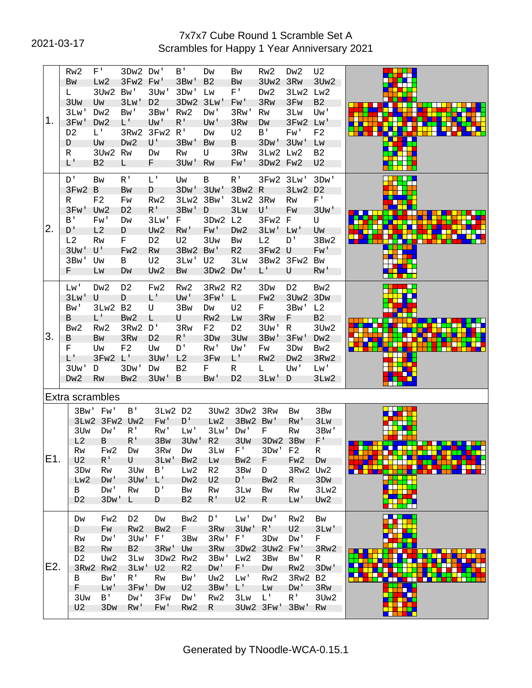# 2021-03-17 Scrambles for Happy 1 Year Anniversary 2021 7x7x7 Cube Round 1 Scramble Set A

|     |   | Rw <sub>2</sub>   | F'                | 3Dw2 Dw'          |                   | B'                      | Dw                | Bw                      | Rw <sub>2</sub>   | Dw <sub>2</sub>   | U <sub>2</sub>       |        |
|-----|---|-------------------|-------------------|-------------------|-------------------|-------------------------|-------------------|-------------------------|-------------------|-------------------|----------------------|--------|
|     |   | Bw                | Lw <sub>2</sub>   | 3Fw2 Fw'          |                   | 3B <sub>W</sub>         | B <sub>2</sub>    | Bw                      | 3Uw <sub>2</sub>  | 3R <sub>W</sub>   | 3Uw <sub>2</sub>     |        |
|     | L |                   | 3Uw <sub>2</sub>  | Bw'               | 3Uw'              | 3D <sub>W</sub>         | Lw                | F'                      | Dw <sub>2</sub>   | 3Lw2              | Lw <sub>2</sub>      |        |
|     |   | 3U <sub>w</sub>   | Uw                | 3Lw'              | D <sub>2</sub>    | 3Dw2                    | 3Lw'              | Fw'                     | 3R <sub>W</sub>   | 3F <sub>w</sub>   | B <sub>2</sub>       |        |
|     |   | 3Lw'              | Dw <sub>2</sub>   | Bw'               | 3Bw'              | Rw <sub>2</sub>         | Dw'               | 3Rw'                    | Rw                | 3L <sub>W</sub>   | Uw'                  |        |
| 1.  |   | 3Fw'              | Dw <sub>2</sub>   | L'                | Uw'               | $R^1$                   | Uw'               | 3R <sub>W</sub>         | Dw                | 3Fw2 Lw'          |                      |        |
|     |   | D <sub>2</sub>    | L'                | 3Rw <sub>2</sub>  | 3Fw2              | R'                      | Dw                | U <sub>2</sub>          | $B^{\prime}$      | Fw'               | F2                   |        |
|     | D |                   | Uw                | Dw <sub>2</sub>   | U'                | 3B <sub>W</sub> '       | Bw                | B                       | 3D <sub>W</sub> ' | 3U <sub>w</sub> ' | Lw                   |        |
|     | R |                   | 3Uw <sub>2</sub>  | <b>Rw</b>         | Dw                | Rw                      | U                 | 3R <sub>W</sub>         | 3Lw2 Lw2          |                   | B2                   |        |
|     |   | L'                | B <sub>2</sub>    | L.                | F.                | 3U <sub>w</sub> '       | Rw                | Fw'                     | 3Dw2 Fw2          |                   | U2                   |        |
|     |   |                   |                   |                   |                   |                         |                   |                         |                   |                   |                      |        |
|     |   | D'                | <b>Bw</b>         | R <sup>T</sup>    | $L^+$             | Uw<br>3D <sub>W</sub> ' | B                 | $R^{\dagger}$<br>3Bw2 R | 3Fw2 3Lw'         |                   | 3Dw'                 |        |
|     |   | 3Fw <sub>2</sub>  | B                 | Bw                | D                 |                         | 3U <sub>w</sub> ' |                         |                   | 3Lw2              | D <sub>2</sub><br>F' |        |
|     | R |                   | F <sub>2</sub>    | Fw                | Rw <sub>2</sub>   | 3Lw2                    | 3Bw'              | 3Lw2                    | 3Rw               | <b>Rw</b>         |                      |        |
|     |   | 3Fw'              | Uw <sub>2</sub>   | D <sub>2</sub>    | $R^{\dagger}$     | 3B <sub>W</sub> '       | D                 | 3Lw                     | U'                | Fw                | 3U <sub>w</sub> '    |        |
| 2.  |   | B'                | Fw'               | Dw                | 3Lw'              | F.                      | 3Dw2              | L2                      | 3Fw2              | F                 | U                    |        |
|     |   | D'                | L2                | D                 | Uw <sub>2</sub>   | Rw'                     | Fw'               | Dw <sub>2</sub>         | 3Lw'              | Lw'               | Uw                   |        |
|     |   | L2                | <b>Rw</b>         | F                 | D <sub>2</sub>    | U <sub>2</sub>          | 3U <sub>w</sub>   | Bw                      | L2                | D'                | 3Bw2                 |        |
|     |   | 3U <sub>w</sub> ' | U'                | Fw <sub>2</sub>   | Rw                | 3Bw2                    | Bw'               | R <sub>2</sub>          | 3Fw2 U            |                   | Fw'                  |        |
|     |   | 3B <sub>W</sub>   | Uw                | В                 | U <sub>2</sub>    | 3Lw'                    | U <sub>2</sub>    | 3Lw                     |                   | 3Bw2 3Fw2         | Bw                   |        |
|     | F |                   | LW                | Dw                | Uw <sub>2</sub>   | Bw                      | 3Dw2              | D <sub>W</sub> '        | L'                | U                 | Rw'                  |        |
|     |   | Lw'               | Dw <sub>2</sub>   | D <sub>2</sub>    | Fw <sub>2</sub>   | Rw <sub>2</sub>         | 3Rw2 R2           |                         | 3D <sub>W</sub>   | D <sub>2</sub>    | Bw <sub>2</sub>      |        |
|     |   | 3Lw'              | U                 | D                 | L'                | Uw'                     | 3Fw'              | L.                      | Fw <sub>2</sub>   | 3Uw2              | 3D <sub>W</sub>      |        |
|     |   | Bw'               | 3Lw2              | B <sub>2</sub>    | U                 | 3 <sub>Bw</sub>         | Dw                | U <sub>2</sub>          | F.                | 3Bw'              | L2                   |        |
|     | B |                   | L'                | Bw <sub>2</sub>   | L                 | U                       | Rw <sub>2</sub>   |                         | 3R <sub>W</sub>   | F                 | <b>B2</b>            |        |
|     |   |                   |                   |                   | D'                |                         |                   | LW                      |                   |                   |                      |        |
| 3.  |   | Bw <sub>2</sub>   | Rw <sub>2</sub>   | 3Rw2              |                   | 3R <sub>W</sub>         | F <sub>2</sub>    | D <sub>2</sub>          | 3U <sub>w</sub> ' | R                 | 3Uw <sub>2</sub>     |        |
|     | B |                   | Bw                | 3R <sub>W</sub>   | D <sub>2</sub>    | $R^1$                   | 3 <sub>Dw</sub>   | 3U <sub>w</sub>         | 3B <sub>W</sub> ' | 3Fw'              | Dw <sub>2</sub>      |        |
|     | F |                   | Uw                | F <sub>2</sub>    | Uw                | D'                      | Rw'               | Uw'                     | Fw                | 3 <sub>Dw</sub>   | Bw <sub>2</sub>      |        |
|     |   | L'                | 3Fw2              | L'                | 3U <sub>w</sub> ' | L2                      | 3Fw               | L'                      | Rw <sub>2</sub>   | Dw <sub>2</sub>   | 3Rw <sub>2</sub>     |        |
|     |   | 3Uw'              | D                 | 3D <sub>W</sub> ' | Dw                | <b>B2</b>               | F                 | R                       | L.                | Uw'               | Lw'                  |        |
|     |   | Dw <sub>2</sub>   | Rw                | Bw <sub>2</sub>   | 3Uw'              | B                       | Bw'               | D <sub>2</sub>          | 3Lw'              | D                 | 3Lw <sub>2</sub>     |        |
|     |   |                   | Extra scrambles   |                   |                   |                         |                   |                         |                   |                   |                      |        |
|     |   |                   | 3Bw' Fw'          | B'                | 3Lw2 D2           |                         |                   | 3Uw2 3Dw2 3Rw           |                   | Bw                | 3B <sub>W</sub>      |        |
|     |   |                   | 3Lw2 3Fw2 Uw2     |                   | Fw'               | D'                      | Lw <sub>2</sub>   | 3Bw2                    | Bw'               | Rw'               | 3L <sub>W</sub>      |        |
|     |   | 3U <sub>w</sub>   | Dw'               | $R^1$             | Rw'               | Lw'                     | 3Lw'              | D <sub>W</sub> '        | F                 | Rw                | 3B <sub>W</sub>      |        |
|     |   | L2                | B                 | $R^{\,1}$         | 3B <sub>W</sub>   | 3U <sub>w</sub> '       | R <sub>2</sub>    | 3U <sub>w</sub>         | 3Dw2 3Bw          |                   | F'                   |        |
|     |   | Rw                | Fw <sub>2</sub>   | Dw                | 3R <sub>W</sub>   | Dw                      | 3Lw               | F'                      | 3D <sub>W</sub> ' | F <sub>2</sub>    | R                    |        |
| E1. |   | U <sub>2</sub>    | $R^+$             | U                 | 3Lw'              | Bw <sub>2</sub>         | LW                | Bw <sub>2</sub>         | F.                | Fw <sub>2</sub>   | Dw                   |        |
|     |   | 3D <sub>W</sub>   | Rw                | 3U <sub>w</sub>   | B <sup>T</sup>    | Lw <sub>2</sub>         | R <sub>2</sub>    | 3B <sub>W</sub>         | D                 | 3Rw2 Uw2          |                      |        |
|     |   | Lw <sub>2</sub>   | D <sub>W</sub>    | 3U <sub>w</sub> ' | $L^{\prime}$      | Dw <sub>2</sub>         | U <sub>2</sub>    | $D^{\dagger}$           | Bw <sub>2</sub>   | R.                | 3D <sub>W</sub>      | a di T |
|     |   | B                 | Dw'               | Rw                | D'                | Bw                      | Rw                | 3L <sub>W</sub>         | Bw                | Rw                | 3Lw <sub>2</sub>     |        |
|     |   | D <sub>2</sub>    | 3D <sub>W</sub> ' | L.                | D                 | B <sub>2</sub>          | $R^+$             | U <sub>2</sub>          | R                 | Lw'               | Uw <sub>2</sub>      |        |
|     |   |                   |                   |                   |                   |                         |                   |                         |                   |                   |                      |        |
|     |   | Dw                | Fw <sub>2</sub>   | D <sub>2</sub>    | Dw                | Bw <sub>2</sub>         | D'                | Lw'                     | Dw'               | Rw <sub>2</sub>   | <b>Bw</b>            |        |
|     |   | D                 | Fw                | Rw <sub>2</sub>   | Bw <sub>2</sub>   | F.                      | 3R <sub>W</sub>   | 3U <sub>w</sub> '       | $R^+$             | U <sub>2</sub>    | 3Lw'                 |        |
|     |   | Rw                | Dw'               | 3Uw'              | $F^+$             | 3B <sub>W</sub>         | 3Rw'              | $F^+$                   | 3D <sub>W</sub>   | Dw'               | F.                   |        |
|     |   | B <sub>2</sub>    | Rw                | B2                | 3Rw'              | Uw                      | 3R <sub>W</sub>   | 3Dw2                    | 3Uw <sub>2</sub>  | Fw'               | 3Rw2                 |        |
|     |   | D <sub>2</sub>    | Uw <sub>2</sub>   | 3L <sub>W</sub>   | 3Dw2              | Rw <sub>2</sub>         | 3Bw'              | Lw2                     | 3B <sub>W</sub>   | Bw'               | R                    |        |
| E2. |   |                   | 3Rw2 Rw2          | 3Lw'              | U <sub>2</sub>    | R <sub>2</sub>          | Dw'               | $F^+$                   | Dw                | Rw <sub>2</sub>   | 3Dw'                 |        |
|     |   | B                 | Bw'               | $R^{\perp}$       | Rw                | Bw'                     | Uw <sub>2</sub>   | Lw'                     | Rw <sub>2</sub>   | 3Rw2              | <b>B2</b>            |        |
|     |   | F.                | Lw'               | 3Fw'              | Dw                | U <sub>2</sub>          | 3B <sub>W</sub>   | $L^+$                   | LW                | Dw'               | 3Rw                  |        |
|     |   | 3U <sub>w</sub>   | $B^+$             | Dw'               | 3Fw               | Dw'                     | Rw <sub>2</sub>   | 3Lw                     | L'                | R'                | 3Uw <sub>2</sub>     |        |
|     |   | U <sub>2</sub>    | 3D <sub>W</sub>   | Rw'               | Fw'               | Rw <sub>2</sub>         | R                 |                         | 3Uw2 3Fw'         | 3Bw'              | Rw                   |        |
|     |   |                   |                   |                   |                   |                         |                   |                         |                   |                   |                      |        |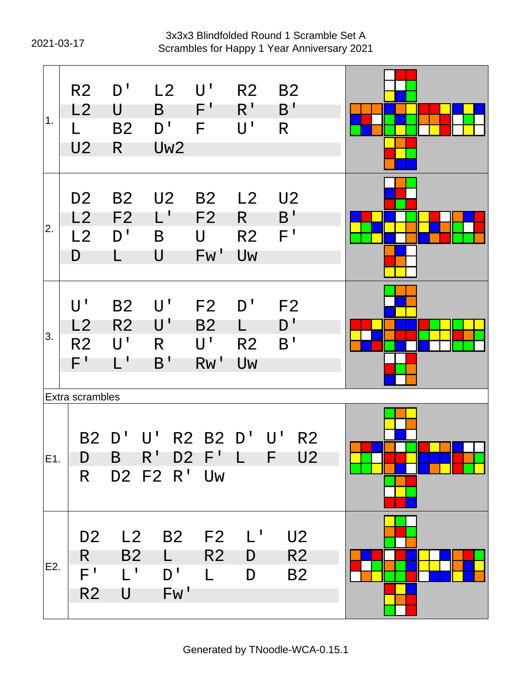# 2021-03-17 Scrambles for Happy 1 Year Anniversary 2021 3x3x3 Blindfolded Round 1 Scramble Set A

| 1.  | R <sub>2</sub><br>L2<br>U <sub>2</sub>                   | D'<br>U<br><b>B2</b><br>R.                                                           | $L2$ $U'$<br>$\mathsf{B}$<br>D'<br>Uw <sub>2</sub> | $\mathsf{F}^+$<br>F                          | R2<br>$R^1$<br>U'                         | <b>B2</b><br>B'<br>$\mathsf{R}$                                     |  |
|-----|----------------------------------------------------------|--------------------------------------------------------------------------------------|----------------------------------------------------|----------------------------------------------|-------------------------------------------|---------------------------------------------------------------------|--|
| 2.  | D <sub>2</sub><br>L2<br>L2<br>D                          | B <sub>2</sub><br>F <sub>2</sub><br>D'<br>L                                          | U <sub>2</sub><br>Ľ<br>B<br>U                      | B <sub>2</sub><br>F <sub>2</sub><br>U<br>Fw' | L2<br>$R_{\perp}$<br>R <sub>2</sub><br>Uw | U <sub>2</sub><br>B <sup>T</sup><br>F'                              |  |
| 3.  | $U^{\dagger}$<br>L2<br>R <sub>2</sub><br>F'              | <b>B2</b><br>R <sub>2</sub><br>$\mathsf{U}^{\, \prime}$<br>$\mathsf{L}^{\mathsf{T}}$ | $U^{\perp}$<br>$\mathsf{U}^{\, \prime}$<br>R<br>B' | F2<br><b>B2</b><br>U'<br>Rw'                 | D'<br>L.<br>R <sub>2</sub><br>Uw          | F <sub>2</sub><br>D'<br>B <sup>T</sup>                              |  |
| E1. | Extra scrambles<br><b>B2</b><br>D<br>R.                  | D'<br>B                                                                              | $\mathsf{U}^+$<br>$R^1$<br>D2 F2 R' Uw             | R2 B2 D'<br>D2 F'                            | ¢                                         | $\mathsf{U}^{\mathsf{T}}$<br>R <sub>2</sub><br>U <sub>2</sub><br>-F |  |
| E2. | D <sub>2</sub><br>R.<br>F <sup>T</sup><br>R <sub>2</sub> | L2<br><b>B2</b><br>$L^{\mathsf{T}}$<br>U                                             | <b>B2</b><br>L<br>D'<br>Fw'                        | F2<br>R <sub>2</sub><br>$\mathbf{L}$         | $\mathsf{L}^{\mathsf{T}}$<br>D<br>D       | U <sub>2</sub><br>R <sub>2</sub><br><b>B2</b>                       |  |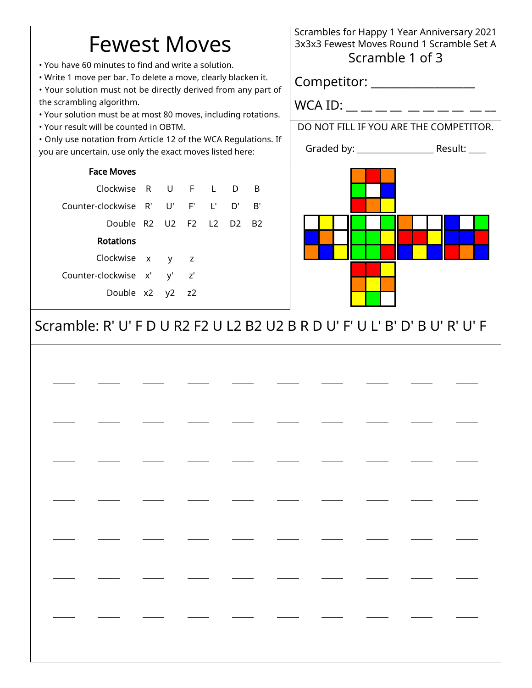# Fewest Moves

• You have 60 minutes to find and write a solution.

• Write 1 move per bar. To delete a move, clearly blacken it.

• Your solution must not be directly derived from any part of the scrambling algorithm.

- Your solution must be at most 80 moves, including rotations.
- Your result will be counted in OBTM.

• Only use notation from Article 12 of the WCA Regulations. If you are uncertain, use only the exact moves listed here:

### Face Moves

| Clockwise R U F L D B            |  |  |    |
|----------------------------------|--|--|----|
| Counter-clockwise R' U' F' L' D' |  |  | R' |
| Double R2 U2 F2 L2 D2 B2         |  |  |    |
| Rotations                        |  |  |    |
| Clockwise x y z                  |  |  |    |
| Counter-clockwise x' y' z'       |  |  |    |
| Double x2 y2 z2                  |  |  |    |

Scrambles for Happy 1 Year Anniversary 2021 3x3x3 Fewest Moves Round 1 Scramble Set A Scramble 1 of 3

Competitor: \_\_\_\_\_\_\_\_\_\_\_\_\_\_\_\_\_\_

WCA ID: \_\_ \_\_ \_\_ \_\_ \_\_ \_\_ \_\_ \_\_ \_\_ \_\_

DO NOT FILL IF YOU ARE THE COMPETITOR.

Graded by: \_\_\_\_\_\_\_\_\_\_\_\_\_\_\_\_\_\_ Result: \_\_\_\_



Scramble: R' U' F D U R2 F2 U L2 B2 U2 B R D U' F' U L' B' D' B U' R' U' F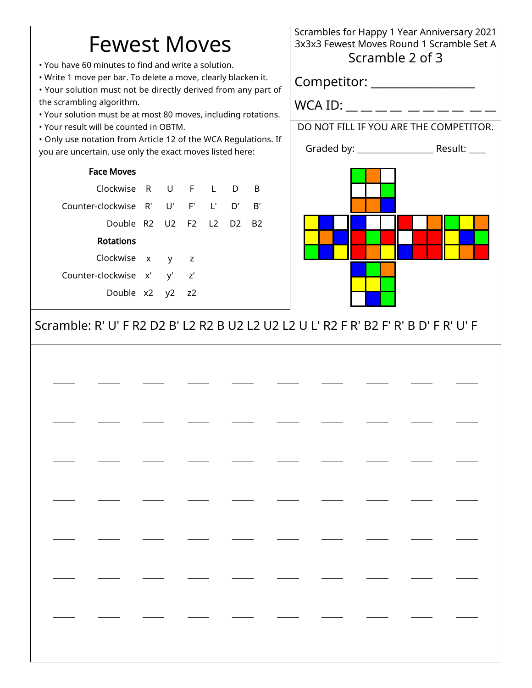# Fewest Moves

• You have 60 minutes to find and write a solution.

• Write 1 move per bar. To delete a move, clearly blacken it.

• Your solution must not be directly derived from any part of the scrambling algorithm.

- Your solution must be at most 80 moves, including rotations.
- Your result will be counted in OBTM.

• Only use notation from Article 12 of the WCA Regulations. If you are uncertain, use only the exact moves listed here:

### Face Moves

| Clockwise R U F L D B               |  |  |  |
|-------------------------------------|--|--|--|
| Counter-clockwise R' U' F' L' D' B' |  |  |  |
| Double R2 U2 F2 L2 D2 B2            |  |  |  |
| <b>Rotations</b>                    |  |  |  |
| Clockwise x y z                     |  |  |  |
| Counter-clockwise x' y' z'          |  |  |  |
| Double x2 y2 z2                     |  |  |  |

# Scrambles for Happy 1 Year Anniversary 2021 3x3x3 Fewest Moves Round 1 Scramble Set A Scramble 2 of 3

Competitor: \_\_\_\_\_\_\_\_\_\_\_\_\_\_\_\_\_\_

WCA ID: \_\_ \_\_ \_\_ \_\_ \_\_ \_\_ \_\_ \_\_ \_\_ \_\_

DO NOT FILL IF YOU ARE THE COMPETITOR.

Graded by: \_\_\_\_\_\_\_\_\_\_\_\_\_\_\_\_\_\_ Result: \_\_\_\_



Scramble: R' U' F R2 D2 B' L2 R2 B U2 L2 U2 L2 U L' R2 F R' B2 F' R' B D' F R' U' F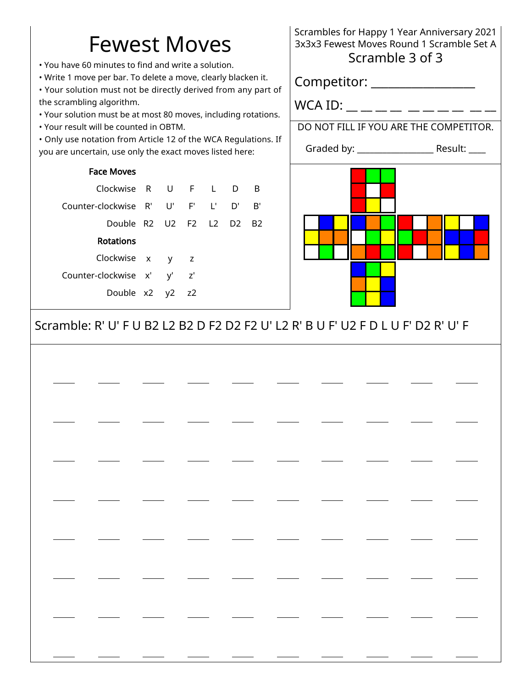# Fewest Moves

• You have 60 minutes to find and write a solution.

• Write 1 move per bar. To delete a move, clearly blacken it.

• Your solution must not be directly derived from any part of the scrambling algorithm.

- Your solution must be at most 80 moves, including rotations.
- Your result will be counted in OBTM.

• Only use notation from Article 12 of the WCA Regulations. If you are uncertain, use only the exact moves listed here:

### Face Moves

| Clockwise R U F L D B               |  |  |  |
|-------------------------------------|--|--|--|
| Counter-clockwise R' U' F' L' D' B' |  |  |  |
| Double R2 U2 F2 L2 D2 B2            |  |  |  |
| <b>Rotations</b>                    |  |  |  |
| Clockwise x y z                     |  |  |  |
| Counter-clockwise x' y' z'          |  |  |  |
| Double x2 y2 z2                     |  |  |  |

# Scrambles for Happy 1 Year Anniversary 2021 3x3x3 Fewest Moves Round 1 Scramble Set A Scramble 3 of 3

Competitor: \_\_\_\_\_\_\_\_\_\_\_\_\_\_\_\_\_\_

WCA ID: \_\_ \_\_ \_\_ \_\_ \_\_ \_\_ \_\_ \_\_ \_\_ \_\_

DO NOT FILL IF YOU ARE THE COMPETITOR.

Graded by: \_\_\_\_\_\_\_\_\_\_\_\_\_\_\_\_\_\_ Result: \_\_\_\_



# Scramble: R' U' F U B2 L2 B2 D F2 D2 F2 U' L2 R' B U F' U2 F D L U F' D2 R' U' F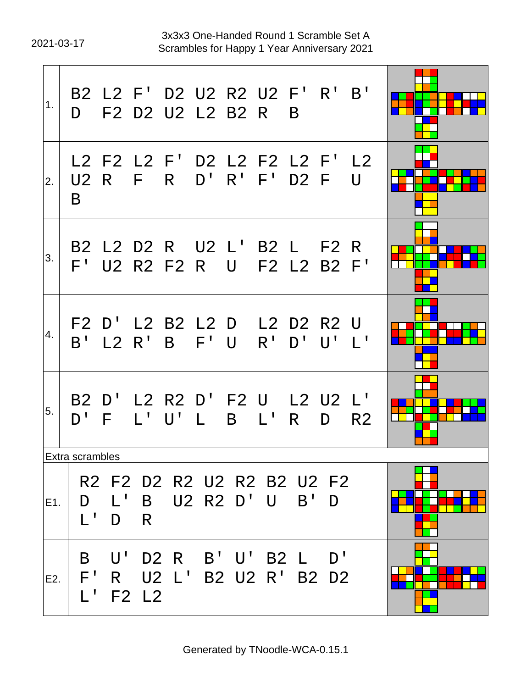2021-03-17 Scrambles for Happy 1 Year Anniversary 2021 3x3x3 One-Handed Round 1 Scramble Set A

| 1.  |                                               |                           |                   | B2 L2 F' D2 U2 R2 U2 F' R' B'<br>D F2 D2 U2 L2 B2 R       |              |             |               | B            |           |                |  |
|-----|-----------------------------------------------|---------------------------|-------------------|-----------------------------------------------------------|--------------|-------------|---------------|--------------|-----------|----------------|--|
| 2.  | B                                             | U2 R                      | F                 | L2 F2 L2 F' D2 L2 F2 L2 F' L2<br>R                        |              |             | D' R' F' D2 F |              |           | $\mathbf{U}$   |  |
| 3.  |                                               |                           |                   | B2 L2 D2 R U2 L' B2 L F2 R<br>F' U2 R2 F2 R U F2 L2 B2 F' |              |             |               |              |           |                |  |
| 4.  |                                               | $B'$ L2 R'                |                   | F2 D' L2 B2 L2 D L2 D2 R2 U<br>B F'U                      |              |             |               | $R'$ $D'$    | $\bigcup$ | $\blacksquare$ |  |
| 5.  | $D^{\perp}$                                   | E                         | $L^+$             | B2 D' L2 R2 D' F2 U L2 U2 L'<br>$\mathsf{U}^{\mathsf{T}}$ | $\mathsf{L}$ | $\mathsf B$ | $L^1$         | $R_{\perp}$  | D         | R <sub>2</sub> |  |
|     | Extra scrambles                               |                           |                   |                                                           |              |             |               |              |           |                |  |
| E1. | D<br>$L^+$                                    | $\mathsf{L}^{\perp}$<br>D | $\mathsf{B}$<br>R | R2 F2 D2 R2 U2 R2 B2 U2 F2                                |              |             | U2 R2 D' U    | $B^{\prime}$ | D         |                |  |
| E2. | B<br>$F^{\perp}$<br>$\mathsf{L}^{\mathsf{T}}$ | U'<br>R                   | <b>F2 L2</b>      | D2 R B'U'B2 L D'<br>U2 L' B2 U2 R' B2 D2                  |              |             |               |              |           |                |  |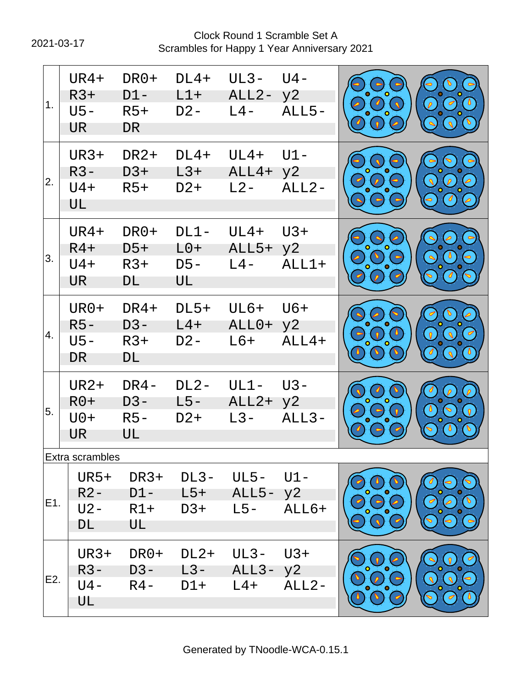2021-03-17 Scrambles for Happy 1 Year Anniversary 2021 Clock Round 1 Scramble Set A

| 1 <sub>1</sub> | UR4+<br>$R3+$<br>$U5 -$<br><b>UR</b> | DR0+<br>$D1 -$<br>$R5+$<br><b>DR</b> | $DL4+$<br>$L1+$<br>$D2 -$    | $UL3-$<br>ALL <sub>2</sub> -<br>$L4-$ | $U4 -$<br>y2<br>$ALL5-$ | $\overline{a}$<br>$\mathcal{L}$                                                     | $\overline{\sigma}$<br>$\mathcal{P}$                                     |
|----------------|--------------------------------------|--------------------------------------|------------------------------|---------------------------------------|-------------------------|-------------------------------------------------------------------------------------|--------------------------------------------------------------------------|
| 2.             | <b>UR3+</b><br>$R3-$<br>$U4+$<br>UL  | DR <sub>2+</sub><br>$D3+$<br>$R5+$   | $DL4+$<br>$L3+$<br>$D2+$     | $UL4+$<br>ALL4+<br>$L2 -$             | $U1 -$<br>y2<br>$ALL2-$ | $\overline{\rho}$<br>$\bullet$                                                      | $\sim$<br>$\overline{\mathcal{L}}$<br>$\overline{\ell}$<br>$\mathcal{J}$ |
| 3.             | UR4+<br>$R4+$<br>$U4+$<br>UR.        | DR0+<br>$D5+$<br>$R3+$<br>DL         | $DL1-$<br>$L0+$<br>D5-<br>UL | $UL4+$<br>$ALL5+$<br>$L4-$            | $U3+$<br>y2<br>$ALL1+$  | $\mathcal{L}_{\mathcal{L}}$<br>$\overline{\phantom{0}}$<br>$\overline{\mathscr{L}}$ | $\bullet$<br>$\bullet$<br>$\mathcal{J}$                                  |
| 4.             | UR0+<br>$R5-$<br>$U5 -$<br><b>DR</b> | DR4+<br>D3-<br>$R3+$<br>DL           | $DL5+$<br>$L4+$<br>$D2 -$    | $UL6+$<br>ALL0+<br>$L6+$              | $U6+$<br>y2<br>$ALL4+$  | $\overline{\mathscr{L}}$<br>$\sqrt{2}$                                              | $\sqrt{2}$                                                               |
| 5.             | <b>UR2+</b><br>$R0+$<br>$U0+$<br>UR  | DR4-<br>D3-<br>$R5-$<br>UL           | $DL2-$<br>$L5-$<br>$D2+$     | $UL1 -$<br>ALL2+<br>$L3-$             | U3-<br>y2<br>$ALL3-$    | $\Omega$                                                                            | $\theta$<br>$\triangledown$                                              |
|                | Extra scrambles                      |                                      |                              |                                       |                         |                                                                                     |                                                                          |
| E1.            | <b>UR5+</b><br>$R2 -$<br>U2-<br>DL   | DR3+<br>$D1 -$<br>$R1+$<br>UL        | DL3-<br>L5+<br>D3+           | UL5- U1-<br>ALL5- y2<br>$L5-$         | ALL6+                   |                                                                                     |                                                                          |
| E2.            | UR3+<br>R3-<br>U4 -<br>UL            | DR0+<br>$D3 -$<br>$R4 -$             | DL2+<br>L3-<br>D1+           | UL3-<br>$ALL3 - y2$<br>$L4+$          | $U3+$<br>$ALL2-$        |                                                                                     |                                                                          |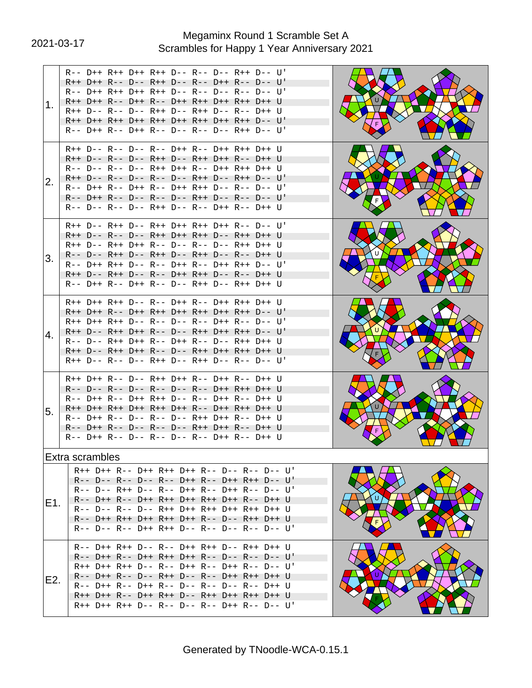# 2021-03-17 Scrambles for Happy 1 Year Anniversary 2021 Megaminx Round 1 Scramble Set A

| 1.               | R-- D++ R++ D++ R++ D-- R-- D-- R++ D-- U'<br>R++ D++ R-- D-- R++ D-- R-- D++ R-- D-- U'<br>R-- D++ R++ D++ R++ D-- R-- D-- R-- D-- U'<br>R++ D++ R-- D++ R-- D++ R++ D++ R++ D++ U<br>R++ D-- R-- D-- R++ D-- R++ D-- R-- D++ U<br>R++ D++ R++ D++ R++ D++ R++ D++ R++ D-- U'<br>R-- D++ R-- D++ R-- D-- R-- D-- R++ D-- U'                   |   |
|------------------|------------------------------------------------------------------------------------------------------------------------------------------------------------------------------------------------------------------------------------------------------------------------------------------------------------------------------------------------|---|
| 2.               | R++ D-- R-- D-- R-- D++ R-- D++ R++ D++ U<br>R++ D-- R-- D-- R++ D-- R++ D++ R-- D++ U<br>R-- D-- R-- D-- R++ D++ R-- D++ R++ D++ U<br>R++ D-- R-- D-- R-- D-- R++ D-- R++ D-- U'<br>R-- D++ R-- D++ R-- D++ R++ D-- R-- D-- U'<br>R-- D++ R-- D-- R-- D-- R++ D-- R-- D-- U'<br>R-- D-- R-- D-- R++ D-- R-- D++ R-- D++ U                     |   |
| 3.               | $R++ D-- R++ D-- R++ D++ R++ D++ R-- D-- U'$<br>R++ D-- R-- D-- R++ D++ R++ D-- R++ D++ U<br>R++ D-- R++ D++ R-- D-- R-- D-- R++ D++ U<br>R-- D-- R++ D-- R++ D-- R++ D-- R-- D++ U<br>R-- D++ R++ D-- R-- D++ R-- D++ R++ D-- U'<br>R++ D-- R++ D-- R-- D++ R++ D-- R-- D++ U<br>R-- D++ R-- D++ R-- D-- R++ D-- R++ D++ U                    |   |
| 4.               | R++ D++ R++ D-- R-- D++ R-- D++ R++ D++ U<br>R++ D++ R-- D++ R++ D++ R++ D++ R++ D-- U'<br>R++ D++ R++ D-- R-- D-- R-- D++ R-- D-- U'<br>R++ D-- R++ D++ R-- D-- R++ D++ R++ D-- U'<br>R-- D-- R++ D++ R-- D++ R-- D-- R++ D++ U<br>R++ D-- R++ D++ R-- D-- R++ D++ R++ D++ U<br>R++ D-- R-- D-- R++ D-- R++ D-- R-- D-- U'                    |   |
| 5.               | R++ D++ R-- D-- R++ D++ R-- D++ R-- D++ U<br>R-- D-- R-- D-- R-- D-- R-- D++ R++ D++ U<br>R-- D++ R-- D++ R++ D-- R-- D++ R-- D++ U<br>R++ D++ R++ D++ R++ D++ R-- D++ R++ D++ U<br>R-- D++ R-- D-- R-- D-- R++ D++ R-- D++ U<br>R-- D++ R-- D-- R-- D-- R++ D++ R-- D++ U<br>R-- D++ R-- D-- R-- D-- R-- D++ R-- D++ U                        |   |
| E1.              | Extra scrambles<br>R++ D++ R-- D++ R++ D++ R-- D-- R-- D-- U'<br>R-- D-- R-- D-- R-- D++ R-- D++ R++ D-- U'<br>R-- D-- R++ D-- R-- D++ R-- D++ R-- D-- U'<br>R-- D++ R-- D++ R++ D++ R++ D++ R-- D++ U<br>R-- D-- R-- D-- R++ D++ R++ D++ R++ D++ U<br>R-- D++ R++ D++ R++ D++ R-- D-- R++ D++ U<br>R-- D-- R-- D++ R++ D-- R-- D-- R-- D-- U' | U |
| E <sub>2</sub> . | R-- D++ R++ D-- R-- D++ R++ D-- R++ D++ U<br>R-- D++ R-- D++ R++ D++ R-- D-- R-- D-- U'<br>R++ D++ R++ D-- R-- D++ R-- D++ R-- D-- U'<br>R-- D++ R-- D-- R++ D-- R-- D++ R++ D++ U<br>R-- D++ R-- D++ R-- D-- R-- D-- R-- D++ U<br>R++ D++ R-- D++ R++ D-- R++ D++ R++ D++ U<br>R++ D++ R++ D-- R-- D-- R-- D++ R-- D-- U'                     |   |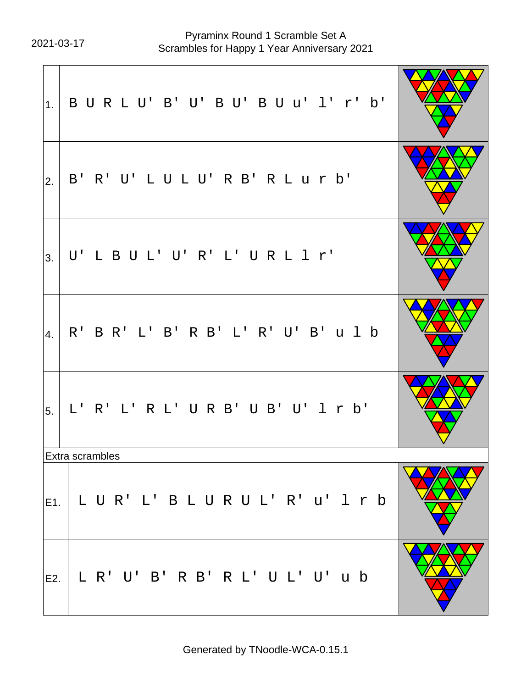2021-03-17 Scrambles for Happy 1 Year Anniversary 2021 Pyraminx Round 1 Scramble Set A

| 1.  | BURLU' B' U' BU' BU u' l' r' b'      |  |
|-----|--------------------------------------|--|
| 2.  | B' R' U' L U L U' R B' R L u r b'    |  |
| 3.  | U'LBUL'U'R'L'URL1r'                  |  |
| 4.  | R' B R' L' B' R B' L' R' U' B' u l b |  |
| 5.  | L' R' L' R L' U R B' U B' U' 1 r b'  |  |
|     | Extra scrambles                      |  |
| E1. | LUR'L' BLURUL' R' u' 1 r b           |  |
| E2. | L R' U' B' R B' R L' U L' U' u b     |  |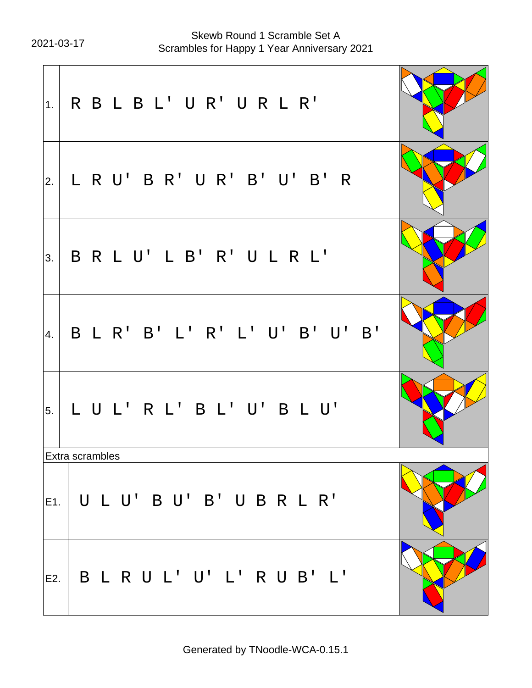2021-03-17 Scrambles for Happy 1 Year Anniversary 2021 Skewb Round 1 Scramble Set A

| 1.  | RBLBL'UR'URLR'                                        |  |
|-----|-------------------------------------------------------|--|
| 2.  | L R U' B R' U R' B' U' B' R                           |  |
| 3.  | B R L U' L B' R' U L R L'                             |  |
| 4.  | B L R' B' L' R' L' U' B' U' B'                        |  |
| 5.  | LUL'RL'BL'U'BLU'                                      |  |
|     | Extra scrambles                                       |  |
|     | $\vert_{\mathsf{E1.}}\vert$ U L U' B U' B' U B R L R' |  |
| E2. | B L R U L' U' L' R U B' L'                            |  |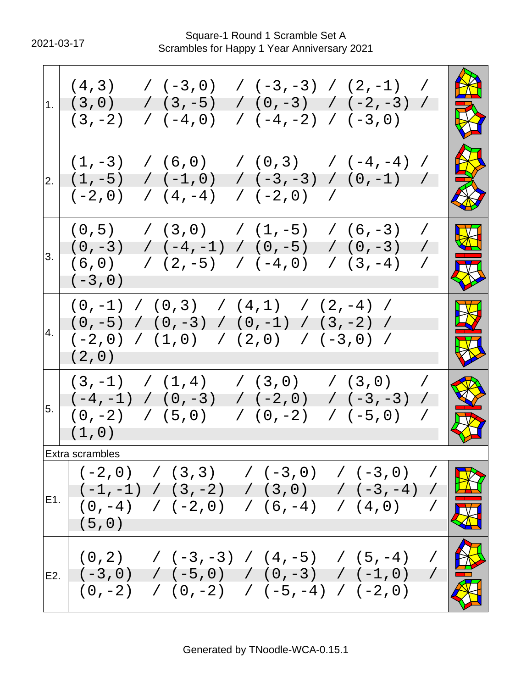2021-03-17 Scrambles for Happy 1 Year Anniversary 2021 Square-1 Round 1 Scramble Set A

| 1. | / $(-3, -3)$ / $(2, -1)$<br>(4,3)<br>$( -3, 0)$<br>$\overline{\phantom{a}}$<br>$(3, -5)$<br>$(0, -3)$ $( -2, -3)$<br>(3, 0)<br>$( -4, -2)$ (-3,0)<br>$/$ (-4,0)<br>$(3, -2)$                                       |                                                                |
|----|--------------------------------------------------------------------------------------------------------------------------------------------------------------------------------------------------------------------|----------------------------------------------------------------|
| 2. | $(6,0)$ $(0,3)$ $(-4,-4)$<br>$(1, -3)$<br>$\overline{\phantom{a}}$<br>$\left( -3, -3 \right)$ $\left( 0, -1 \right)$ $\left( 0, -1 \right)$<br>$( -1, 0 )$<br>$(1, -5)$<br>$(4, -4)$<br>$( -2, 0 )$ /<br>$(-2, 0)$ | No.<br>B                                                       |
| 3. | (0, 5)<br>$(3,0)$ $(1,-5)$<br>$(6, -3)$<br>$\sqrt{2}$<br>$/( -4, -1) / (0, -5)$<br>$(0, -3)$<br>$(0, -3)$<br>$\sqrt{2}$<br>(6, 0)<br>$/(2,-5)$ $/(-4,0)$<br>$(3, -4)$<br>$\overline{\phantom{a}}$<br>$(-3, 0)$     | $\boldsymbol{\nabla}$<br>$\overline{\mathbf{M}}$<br><b>AND</b> |
| 4. | $(0,-1)$ / $(0,3)$ / $(4,1)$ / $(2,-4)$ /<br>$(0, -5)$ / $(0, -3)$ / $(0, -1)$ / $(3, -2)$ /<br>$(-2,0)$ / $(1,0)$ / $(2,0)$ / $(-3,0)$ /<br>(2, 0)                                                                | $\mathbf{\mathbf{\Omega}}$<br>X                                |
| 5. | $(3,-1)$ / $(1,4)$ / $(3,0)$<br>(3, 0)<br>$\overline{ }$<br>$(-4,-1)$ / $(0,-3)$<br>$( -2, 0 )$<br>$/$ (-3, -3) /<br>$(0, -2)$ / $(5, 0)$ / $(0, -2)$<br>$/(-5,0)$ /<br>(1, 0)                                     |                                                                |
|    | Extra scrambles                                                                                                                                                                                                    |                                                                |
|    | $( -2, 0)$ / $(3, 3)$ / $( -3, 0)$ / $( -3, 0)$ /<br>E1. $\begin{bmatrix} (-1, -1) & / & (3, -2) & / & (3, 0) & / & (-3, -4) & / \\ (0, -4) & / & (-2, 0) & / & (6, -4) & / & (4, 0) & / \end{bmatrix}$<br>(5, 0)  |                                                                |
|    | $\begin{bmatrix} (0,2) & /(-3,-3) & /(4,-5) & /(5,-4) & / \end{bmatrix}$<br>E2. $( -3, 0 )$ / $( -5, 0 )$ / $( 0, -3 )$ / $( -1, 0 )$ /<br>$(0,-2)$ / $(0,-2)$ / $(-5,-4)$ / $(-2,0)$                              |                                                                |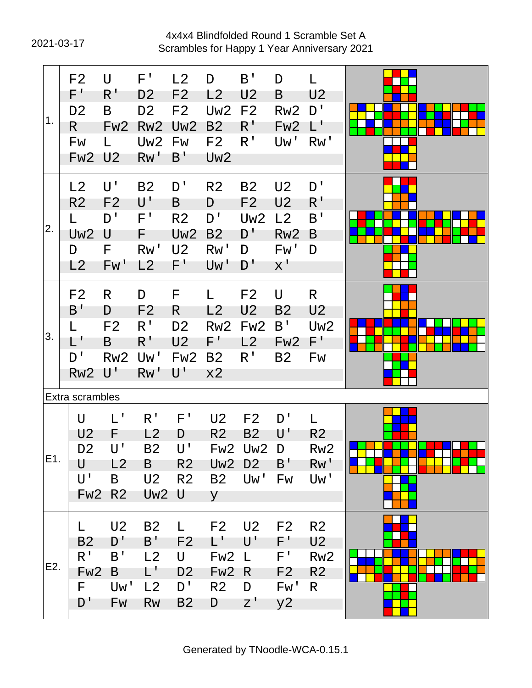# 2021-03-17 Scrambles for Happy 1 Year Anniversary 2021 4x4x4 Blindfolded Round 1 Scramble Set A

| $\mathbf{1}$ . | F <sub>2</sub><br>$F^+$<br>D <sub>2</sub><br>R.<br>Fw<br><b>Fw2 U2</b>                 | $\cup$<br>R'<br>B<br>Fw <sub>2</sub>                                          | $F^{\, \prime}$<br>D <sub>2</sub><br>D <sub>2</sub><br>Rw <sub>2</sub><br>Uw <sub>2</sub><br>RW' | L2<br>F <sub>2</sub><br>F <sub>2</sub><br>Uw <sub>2</sub><br>Fw<br>$B^{\perp}$             | D<br>L <sub>2</sub><br>Uw <sub>2</sub><br>B <sub>2</sub><br>F <sub>2</sub><br>Uw <sub>2</sub> | $B^{\prime}$<br>U <sub>2</sub><br>F <sub>2</sub><br>$R^{\prime}$<br>R <sup>T</sup> | D<br>B<br>Rw <sub>2</sub><br>Fw <sub>2</sub><br>Uw'                             | L<br>U <sub>2</sub><br>D'<br>$L^{\perp}$<br>Rw'                             |  |
|----------------|----------------------------------------------------------------------------------------|-------------------------------------------------------------------------------|--------------------------------------------------------------------------------------------------|--------------------------------------------------------------------------------------------|-----------------------------------------------------------------------------------------------|------------------------------------------------------------------------------------|---------------------------------------------------------------------------------|-----------------------------------------------------------------------------|--|
| 2.             | L2<br>R <sub>2</sub><br>L.<br>Uw <sub>2</sub><br>D<br>L2                               | U'<br>F <sub>2</sub><br>D'<br>U<br>F<br>Fw'                                   | <b>B2</b><br>$\mathsf{U}^{\, \prime}$<br>$F^{\perp}$<br>F<br>Rw'<br>L2                           | D'<br>B<br>R <sub>2</sub><br>Uw <sub>2</sub><br>U <sub>2</sub><br>$F^+$                    | R <sub>2</sub><br>D<br>D'<br>B <sub>2</sub><br>Rw'<br>Uw'                                     | <b>B2</b><br>F <sub>2</sub><br>Uw <sub>2</sub><br>D'<br>D<br>D'                    | U <sub>2</sub><br>U <sub>2</sub><br>L2<br>Rw <sub>2</sub><br>Fw'<br>$X^{\perp}$ | D'<br>$R^1$<br>B'<br>B<br>D                                                 |  |
| 3.             | F <sub>2</sub><br>B'<br>L.<br>L'<br>D'<br>Rw <sub>2</sub>                              | R<br>D<br>F <sub>2</sub><br>B<br>Rw <sub>2</sub><br>$\mathsf{U}^{\mathsf{T}}$ | D<br>F <sub>2</sub><br>R <sup>1</sup><br>$R^1$<br>Uw'<br>RW'                                     | F<br>R<br>D <sub>2</sub><br>U <sub>2</sub><br>Fw <sub>2</sub><br>$\mathsf{U}^{\mathsf{T}}$ | L <sub>2</sub><br>Rw <sub>2</sub><br>F'<br><b>B2</b><br>x2                                    | F <sub>2</sub><br>U <sub>2</sub><br>Fw <sub>2</sub><br>L2<br>$R^{\prime}$          | U<br><b>B2</b><br>B'<br>Fw <sub>2</sub><br><b>B2</b>                            | R.<br>U <sub>2</sub><br>Uw <sub>2</sub><br>$F^+$<br>Fw                      |  |
| E1.            | Extra scrambles<br>U<br>U <sub>2</sub><br>D <sub>2</sub><br>U<br>U'<br>Fw <sub>2</sub> | L'<br>F<br>ប '<br>L2<br>B<br>R <sub>2</sub>                                   | R <sup>1</sup><br>L2<br><b>B2</b><br>B<br>U <sub>2</sub><br>Uw <sub>2</sub> U                    | $F^{\, \prime}$<br>D<br>U'<br>R <sub>2</sub><br>R <sub>2</sub>                             | U <sub>2</sub><br>R <sub>2</sub><br>Fw <sub>2</sub><br>Uw <sub>2</sub><br>y                   | F <sub>2</sub><br>B <sub>2</sub><br>Uw <sub>2</sub><br>D <sub>2</sub><br>B2 Uw'    | D'<br>$\mathsf{U}^{\, \prime}$<br>D<br>$B^{\dagger}$<br>Fw                      | L<br>R <sub>2</sub><br>Rw <sub>2</sub><br>Rw'<br>Uw'                        |  |
| E2.            | L.<br>B <sub>2</sub><br>$R^1$<br>Fw <sub>2</sub><br>F.<br>D'                           | U <sub>2</sub><br>D'<br>B'<br>B<br>Uw'<br>Fw                                  | <b>B2</b><br>$B^{\dagger}$<br>L2<br>L'<br>L2<br><b>Rw</b>                                        | L.<br>F <sub>2</sub><br>U<br>D <sub>2</sub><br>$D^{\prime}$<br>B <sub>2</sub>              | F <sub>2</sub><br>$\mathsf{L}^+$<br>Fw <sub>2</sub><br>Fw <sub>2</sub><br>R <sub>2</sub><br>D | U <sub>2</sub><br>U'<br>$\mathsf{L}$<br>R.<br>D<br>$Z^{\prime}$                    | F <sub>2</sub><br>F'<br>F'<br>F <sub>2</sub><br>Fw'<br>y2                       | R <sub>2</sub><br>U <sub>2</sub><br>Rw <sub>2</sub><br>R <sub>2</sub><br>R. |  |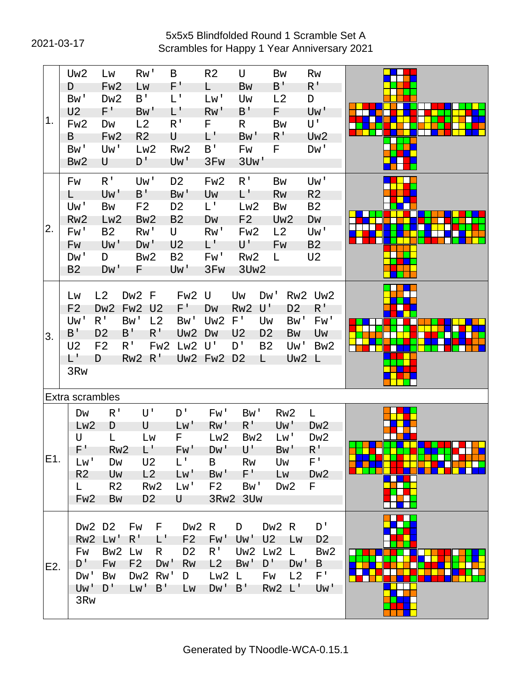# 2021-03-17 Scrambles for Happy 1 Year Anniversary 2021 5x5x5 Blindfolded Round 1 Scramble Set A

|     | Uw2             | Lw               | Rw'              | B               |                 | R <sub>2</sub>            | U                 |                | <b>Bw</b>       | Rw              |  |
|-----|-----------------|------------------|------------------|-----------------|-----------------|---------------------------|-------------------|----------------|-----------------|-----------------|--|
|     | D               | Fw <sub>2</sub>  | Lw               |                 | F'              | L                         | <b>Bw</b>         | B'             |                 | $R^+$           |  |
|     | Bw'             | Dw <sub>2</sub>  | $B^{\dagger}$    |                 | L'              | Lw'                       | Uw                |                | L2              | D               |  |
|     | U <sub>2</sub>  | F'               | Bw'              |                 | L'              | Rw'                       | B'                | F.             |                 | Uw'             |  |
| 1.  | Fw <sub>2</sub> | Dw               | L2               |                 | $R^{\prime}$    | F.                        | R                 |                | Bw              | U'              |  |
|     | B               | Fw <sub>2</sub>  | R <sub>2</sub>   | U               |                 | Ľ                         | Bw'               | $R^1$          |                 | Uw <sub>2</sub> |  |
|     | Bw'             | Uw'              | Lw2              |                 | Rw <sub>2</sub> | B'                        | Fw                | F.             |                 | Dw'             |  |
|     | Bw <sub>2</sub> | U                | D'               |                 | Uw'             | 3F <sub>W</sub>           | 3U <sub>w</sub> ' |                |                 |                 |  |
|     |                 |                  |                  |                 |                 |                           |                   |                |                 |                 |  |
|     | Fw              | R <sup>T</sup>   | Uw'              |                 | D <sub>2</sub>  | Fw <sub>2</sub>           | R <sup>T</sup>    |                | <b>Bw</b>       | Uw'             |  |
|     | L.              | Uw'              | $B^{\prime}$     |                 | Bw'             | Uw                        | L'                |                | Rw              | R <sub>2</sub>  |  |
|     | Uw'             | Bw               | F <sub>2</sub>   |                 | D <sub>2</sub>  | L'                        | Lw <sub>2</sub>   |                | <b>Bw</b>       | <b>B2</b>       |  |
|     | Rw <sub>2</sub> | Lw <sub>2</sub>  | Bw <sub>2</sub>  |                 | <b>B2</b>       | Dw                        | F <sub>2</sub>    |                | Uw <sub>2</sub> | DW              |  |
| 2.  | Fw'             | <b>B2</b>        | Rw'              |                 | U               | Rw'                       | Fw <sub>2</sub>   |                | L2              | Uw'             |  |
|     | Fw              | Uw'              | D <sub>W</sub> ' |                 | U <sub>2</sub>  | L'                        | U'                |                | Fw              | B <sub>2</sub>  |  |
|     | Dw'             | D                | Bw <sub>2</sub>  |                 | <b>B2</b>       | Fw'                       | Rw <sub>2</sub>   | L.             |                 | U <sub>2</sub>  |  |
|     |                 |                  |                  |                 |                 |                           |                   |                |                 |                 |  |
|     | B <sub>2</sub>  | D <sub>W</sub> ' | F                |                 | Uw'             | 3F <sub>W</sub>           | 3Uw <sub>2</sub>  |                |                 |                 |  |
|     |                 |                  |                  |                 |                 |                           |                   |                |                 |                 |  |
|     | Lw              | L2               | Dw2 F            |                 | Fw <sub>2</sub> | U                         | Uw                | Dw'            | Rw <sub>2</sub> | Uw <sub>2</sub> |  |
|     | F <sub>2</sub>  | Dw <sub>2</sub>  | Fw <sub>2</sub>  | U <sub>2</sub>  | $F^{\prime}$    | DW                        | Rw <sub>2</sub>   | U'             | D <sub>2</sub>  | $R^{\perp}$     |  |
|     | Uw'             | R <sup>T</sup>   | Bw'              | L <sub>2</sub>  | Bw'             | Uw <sub>2</sub>           | $F^{\prime}$      | Uw             | Bw'             | Fw'             |  |
| 3.  | B'              | D <sub>2</sub>   | B'               | $R^{\prime}$    | Uw <sub>2</sub> | Dw                        | U <sub>2</sub>    | D <sub>2</sub> | Bw              | Uw              |  |
|     | U <sub>2</sub>  | F <sub>2</sub>   | $R^{\prime}$     | Fw <sub>2</sub> | Lw2             | $\mathsf{U}^{\mathsf{T}}$ | D'                | <b>B2</b>      | Uw'             | Bw <sub>2</sub> |  |
|     | L'              | D                | Rw <sub>2</sub>  | $R^{\prime}$    |                 | Uw2 Fw2 D2                |                   | L              | Uw2 L           |                 |  |
|     | 3R <sub>W</sub> |                  |                  |                 |                 |                           |                   |                |                 |                 |  |
|     |                 |                  |                  |                 |                 |                           |                   |                |                 |                 |  |
|     |                 | Extra scrambles  |                  |                 |                 |                           |                   |                |                 |                 |  |
|     | Dw              | R <sup>1</sup>   | U'               |                 | D'              | Fw'                       | Bw'               |                | Rw <sub>2</sub> | L               |  |
|     | Lw <sub>2</sub> |                  | U                |                 | Lw'             | Rw'                       | $R^{\perp}$       |                | Uw'             | Dw <sub>2</sub> |  |
|     | U               | D<br>Г           |                  |                 | F.              | Lw2                       | Bw <sub>2</sub>   |                | Lw'             |                 |  |
|     | F'              |                  | Lw<br>$L^+$      |                 |                 |                           |                   |                |                 | Dw <sub>2</sub> |  |
| E1. |                 | Rw <sub>2</sub>  |                  |                 | Fw'             | DM <sub>I</sub>           | U'                |                | Bw'             | $R^1$           |  |
|     | Lw'             | Dw               | U <sub>2</sub>   |                 | L'              | B                         | <b>Rw</b>         |                | Uw              | $F^+$           |  |
|     | R <sub>2</sub>  | Uw               | L2               |                 | Lw'             | Bw'                       | $F^+$             |                | Lw              | Dw <sub>2</sub> |  |
|     | L.              | R <sub>2</sub>   | Rw <sub>2</sub>  |                 | Lw'             | F <sub>2</sub>            | Bw'               |                | Dw <sub>2</sub> | F               |  |
|     | Fw <sub>2</sub> | Bw               | D <sub>2</sub>   |                 | U               | 3Rw2                      | 3U <sub>W</sub>   |                |                 |                 |  |
|     |                 |                  |                  |                 |                 |                           |                   |                |                 |                 |  |
|     |                 | Dw2 D2           | Fw               | F               |                 | Dw2 R                     | D                 |                | $Dw2$ R         | D'              |  |
|     | Rw <sub>2</sub> | Lw'              | $R^1$            | $\mathsf{L}^+$  | F <sub>2</sub>  | Fw'                       | Uw'               | U <sub>2</sub> | Lw              | D <sub>2</sub>  |  |
|     | Fw              | Bw <sub>2</sub>  | Lw               | R.              | D <sub>2</sub>  | $R^{\perp}$               | Uw <sub>2</sub>   | Lw2            | $\mathsf{L}$    | Bw <sub>2</sub> |  |
| E2. | $D^{\perp}$     | Fw               | F <sub>2</sub>   | D <sub>W</sub>  | Rw              | L2                        | Bw'               | $D^{\dagger}$  | D <sub>M</sub>  | B               |  |
|     | Dw'             | <b>Bw</b>        | Dw <sub>2</sub>  | Rw'             | D               | Lw2                       | L.                | Fw             | L2              | $F^+$           |  |
|     | Uw'             | D'               | L <sub>M</sub>   | $B^{\perp}$     | Lw              | $DW'$ B'                  |                   |                | Rw2 L'          | Uw'             |  |
|     | 3R <sub>W</sub> |                  |                  |                 |                 |                           |                   |                |                 |                 |  |
|     |                 |                  |                  |                 |                 |                           |                   |                |                 |                 |  |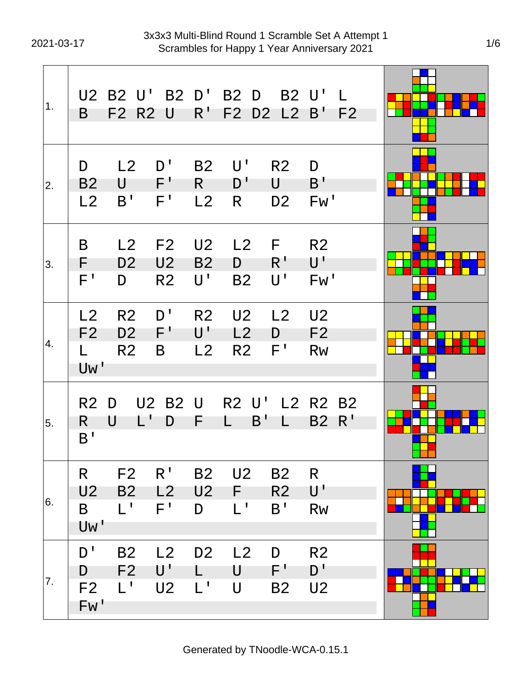| 1 <sub>1</sub> | B                                        | U2 B2 U'<br>F2 R2 U                                |                                        | $R^{\perp}$                                         | B2 D' B2 D<br>F2 D2 L2 B'              | B2 U'                                 |                                                   | $\mathbf{L}$<br>F <sub>2</sub> |  |
|----------------|------------------------------------------|----------------------------------------------------|----------------------------------------|-----------------------------------------------------|----------------------------------------|---------------------------------------|---------------------------------------------------|--------------------------------|--|
| 2.             | D<br>B <sub>2</sub><br>L2                | L2<br>U<br>B'                                      | D'<br>$F^{\prime}$<br>F'               | <b>B2</b><br>$R_{\perp}$<br>L2                      | $\mathsf{U}^{\, \prime}$<br>D'<br>R    | R <sub>2</sub><br>U<br>D <sub>2</sub> | D<br>B'<br>Fw'                                    |                                |  |
| 3.             | B<br>F.<br>$F^{\perp}$                   | L2<br>D <sub>2</sub><br>D                          | F2<br>U <sub>2</sub><br>R <sub>2</sub> | U <sub>2</sub><br><b>B2</b><br>$\mathsf{U}^{\perp}$ | L2<br>D<br><b>B2</b>                   | F.<br>R <sup>T</sup><br>U'            | R <sub>2</sub><br>$\mathsf{U}^{\, \prime}$<br>Fw' |                                |  |
| 4.             | L2<br>F <sub>2</sub><br>L.<br>Uw'        | R <sub>2</sub><br>D <sub>2</sub><br>R <sub>2</sub> | D'<br>$F^{\prime}$<br>B                | R <sub>2</sub><br>$\mathsf{U}^{\mathsf{T}}$<br>L2   | U <sub>2</sub><br>L2<br>R <sub>2</sub> | L2<br>D<br>F'                         | U <sub>2</sub><br>F <sub>2</sub><br><b>Rw</b>     |                                |  |
| 5.             | R <sub>2</sub> D<br>R.<br>B <sup>T</sup> | $L^{\mathsf{T}}$<br>U                              | <b>U2 B2 U</b><br>D                    | F                                                   | R2 U' L2 R2 B2<br>B'<br>L              | L.                                    | <b>B2</b>                                         | R'                             |  |
| 6.             | R<br>U <sub>2</sub><br>B<br>Uw'          | F <sub>2</sub><br><b>B2</b><br>$L^1$               | R <sup>T</sup><br>L2<br>$F^{\perp}$    | <b>B2</b><br>U <sub>2</sub><br>D                    | U2<br>F.<br>$L^1$                      | <b>B2</b><br>R <sub>2</sub><br>B'     | R<br>$\mathsf{U}^{\, \prime}$<br><b>Rw</b>        |                                |  |
| 7.             | D'<br>D<br>F <sub>2</sub><br>Fw'         | <b>B2</b><br>F <sub>2</sub><br>$L^1$               | L2<br>U'<br><b>U2</b>                  | D <sub>2</sub><br>$\mathsf{L}^{\mathsf{T}}$         | L2<br>U<br>U                           | D<br>F'<br>B <sub>2</sub>             | R <sub>2</sub><br>D'<br>U <sub>2</sub>            |                                |  |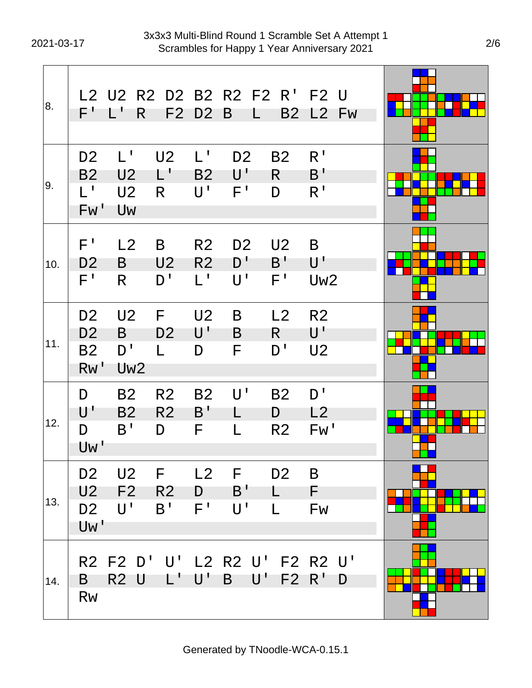| 8.  | $\mathsf{F}^+$                                       | R<br>$\mathbf{1}$                                          | F2                                       | D <sub>2</sub>                                                | L2 U2 R2 D2 B2 R2 F2 R' F2 U<br>B<br>L           |                                                | <b>B2 L2 Fw</b>                                               |  |
|-----|------------------------------------------------------|------------------------------------------------------------|------------------------------------------|---------------------------------------------------------------|--------------------------------------------------|------------------------------------------------|---------------------------------------------------------------|--|
| 9.  | D <sub>2</sub><br>B <sub>2</sub><br>$L^1$<br>Fw'     | $L^{\mathsf{T}}$<br>U <sub>2</sub><br>U <sub>2</sub><br>Uw | U <sub>2</sub><br>$L^{\mathsf{T}}$<br>R. | $L^{\perp}$<br>B <sub>2</sub><br>$\mathsf{U}^{\, \mathsf{I}}$ | D <sub>2</sub><br>U'<br>F'                       | <b>B2</b><br>R.<br>D                           | R <sup>1</sup><br>B'<br>R <sup>T</sup>                        |  |
| 10. | $F^{\prime}$<br>D <sub>2</sub><br>$F^{\perp}$        | L2<br>B<br>R.                                              | B<br>U <sub>2</sub><br>D'                | R <sub>2</sub><br>R <sub>2</sub><br>$L^1$                     | D <sub>2</sub><br>D'<br>$\mathsf{U}^{\, \prime}$ | U <sub>2</sub><br>B'<br>$F^{\prime}$           | B<br>$\mathsf{U}^{\mathsf{T}}$<br>Uw <sub>2</sub>             |  |
| 11. | D <sub>2</sub><br>D <sub>2</sub><br><b>B2</b><br>Rw' | U <sub>2</sub><br>B<br>D'<br>Uw <sub>2</sub>               | F<br>D <sub>2</sub><br>L.                | U <sub>2</sub><br>$\mathsf{U}^{\mathsf{T}}$<br>D              | B<br>B<br>F                                      | L2<br>R<br>D'                                  | R <sub>2</sub><br>$\mathsf{U}^{\mathsf{T}}$<br>U <sub>2</sub> |  |
| 12. | D<br>$\mathsf{U}^{\, \prime}$<br>D<br>Uw'            | <b>B2</b><br>B <sub>2</sub><br>B'                          | R <sub>2</sub><br>R <sub>2</sub><br>D    | <b>B2</b><br>$B^{\prime}$<br>F                                | $\mathsf{U}^{\, \prime}$<br>L<br>L               | <b>B2</b><br>D<br>R <sub>2</sub>               | D'<br>L2<br>Fw'                                               |  |
| 13. | D <sub>2</sub><br>U2<br>D <sub>2</sub><br>Uw'        | U2<br>F <sub>2</sub><br>$U^{\perp}$                        | $\mathsf F$<br><b>R2</b><br>B'           | D<br>$F^{\perp}$                                              | $L2$ F<br>B'<br>U'                               | D <sub>2</sub><br>$\mathsf{L}$<br>$\mathsf{L}$ | B<br>-F<br>Fw                                                 |  |
| 14. | B<br><b>Rw</b>                                       | R2 U L' U'                                                 |                                          |                                                               | $\mathsf{B}$                                     |                                                | R2 F2 D' U' L2 R2 U' F2 R2 U'<br>$U'$ F2 R' D                 |  |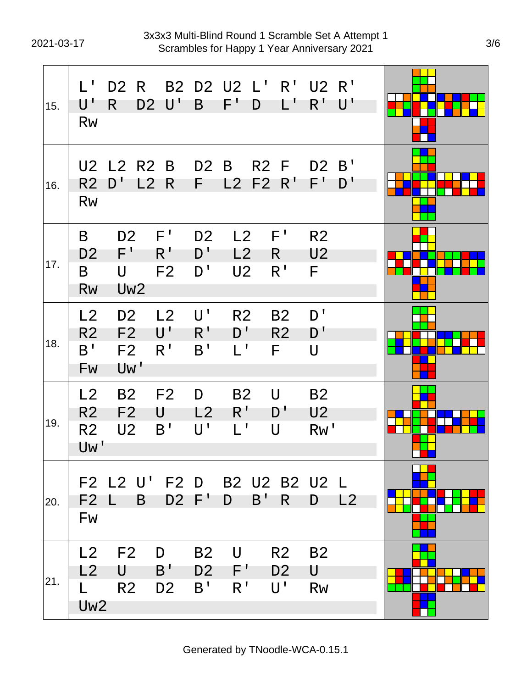| 15. | $\mathsf{L}^{\mathsf{T}}$<br>U'<br><b>Rw</b>  | D <sub>2</sub> R<br>R                                     | D <sub>2</sub> | $\mathsf{U}^{\mathsf{T}}$            | B                                             | B2 D2 U2 L'<br>$\mathsf{F}^+$                     | D                         | R <sup>T</sup><br>L'                            | U2 R'<br>$R^{\prime}$                 | $\mathsf{U}^{\mathsf{T}}$ |  |
|-----|-----------------------------------------------|-----------------------------------------------------------|----------------|--------------------------------------|-----------------------------------------------|---------------------------------------------------|---------------------------|-------------------------------------------------|---------------------------------------|---------------------------|--|
| 16. | U <sub>2</sub><br>R <sub>2</sub><br><b>Rw</b> | L2 R2 B<br>D'                                             | L2             | R                                    | D <sub>2</sub><br>F.                          | B<br>L2                                           | R <sub>2</sub> F<br>F2 R' |                                                 | D <sub>2</sub><br>F'                  | B'<br>D'                  |  |
| 17. | B<br>D <sub>2</sub><br>B<br><b>Rw</b>         | D <sub>2</sub><br>F'<br>$\bigcup$<br>Uw <sub>2</sub>      |                | F'<br>$R^{\prime}$<br>F <sub>2</sub> | D <sub>2</sub><br>D'<br>D'                    | L2<br>L2<br>U <sub>2</sub>                        |                           | F'<br>R.<br>R <sup>T</sup>                      | R <sub>2</sub><br>U <sub>2</sub><br>F |                           |  |
| 18. | L2<br>R <sub>2</sub><br>B'<br>Fw              | D <sub>2</sub><br>F <sub>2</sub><br>F <sub>2</sub><br>Uw' |                | L2<br>U'<br>R'                       | U'<br>$R^{\,I}$<br>B'                         | R <sub>2</sub><br>D'<br>$\mathsf{L}^{\mathsf{L}}$ |                           | <b>B2</b><br>R <sub>2</sub><br>F                | D'<br>D'<br>$\mathsf{U}$              |                           |  |
| 19. | L2<br>R <sub>2</sub><br>R <sub>2</sub><br>Uw' | <b>B2</b><br>F <sub>2</sub><br>U <sub>2</sub>             | U              | F <sub>2</sub><br>B'                 | D<br>L2<br>$U^{\perp}$                        | <b>B2</b><br>$R^{\prime}$<br>$L^1$                |                           | $\cup$<br>D'<br>U                               | <b>B2</b><br>U <sub>2</sub><br>Rw'    |                           |  |
| 20. | F <sub>2</sub><br>Fw                          | F2 L2 U' F2 D B2 U2 B2 U2 L<br>$L$ B D2 F'D B'            |                |                                      |                                               |                                                   |                           | $R_{\perp}$                                     | D L2                                  |                           |  |
| 21. | L2<br>L.<br>Uw <sub>2</sub>                   | $L2$ F2<br>U<br>R2                                        |                | D<br>$B^{\prime}$<br>D <sub>2</sub>  | <b>B2</b><br>D <sub>2</sub><br>B <sup>T</sup> | U<br>F'<br>R <sup>T</sup>                         |                           | R <sub>2</sub><br>D <sub>2</sub><br>$U^{\perp}$ | <b>B2</b><br>U<br><b>Rw</b>           |                           |  |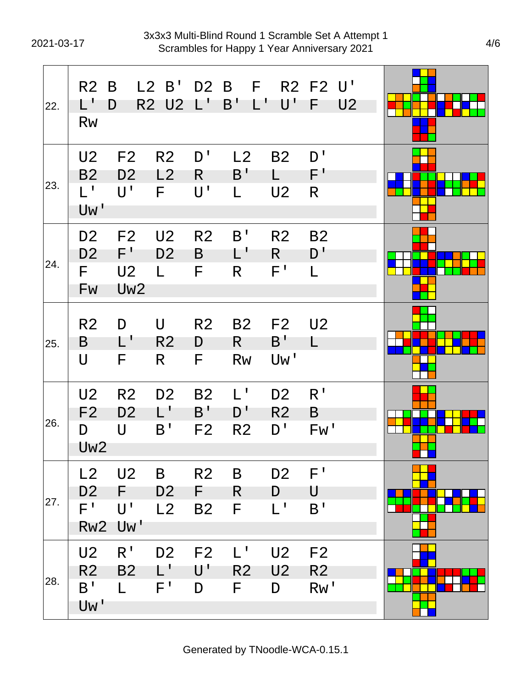| 22. | R <sub>2</sub><br>$\mathsf{L}^{\mathsf{T}}$<br><b>Rw</b>  | B<br>D                                                              | L2 B'<br>R2 U2 L'                     |                                                 | D2 B F<br>B'<br>$L^{\prime}$                      | $\mathsf{U}^{\mathsf{T}}$                         | R2 F2 U'<br>-F                          | U <sub>2</sub> |  |
|-----|-----------------------------------------------------------|---------------------------------------------------------------------|---------------------------------------|-------------------------------------------------|---------------------------------------------------|---------------------------------------------------|-----------------------------------------|----------------|--|
| 23. | U <sub>2</sub><br>B <sub>2</sub><br>$L^+$<br>Uw'          | F <sub>2</sub><br>D <sub>2</sub><br>$\mathsf{U}^{\, \prime}$        | R <sub>2</sub><br>L2<br>F.            | D'<br>R.<br>$U^{\mathsf{T}}$                    | L2<br>B'<br>L.                                    | <b>B2</b><br>L.<br>U <sub>2</sub>                 | D'<br>$F^+$<br>R                        |                |  |
| 24. | D <sub>2</sub><br>D <sub>2</sub><br>F.<br>Fw              | F <sub>2</sub><br>$F^{\prime}$<br>U <sub>2</sub><br>Uw <sub>2</sub> | U <sub>2</sub><br>D <sub>2</sub><br>L | R <sub>2</sub><br>B<br>F                        | B'<br>L'<br>R.                                    | R <sub>2</sub><br>$R_{\parallel}$<br>$F^{\prime}$ | <b>B2</b><br>D'<br>L                    |                |  |
| 25. | R <sub>2</sub><br>B<br>$\cup$                             | D<br>$\mathsf{L}^{\mathsf{T}}$<br>F.                                | U<br>R <sub>2</sub><br>R.             | R <sub>2</sub><br>D<br>F.                       | <b>B2</b><br>R<br><b>Rw</b>                       | F2<br>$B^{\perp}$<br>Uw'                          | U <sub>2</sub><br>L                     |                |  |
| 26. | U <sub>2</sub><br>F <sub>2</sub><br>D<br>Uw <sub>2</sub>  | R <sub>2</sub><br>D <sub>2</sub><br>$\mathsf{U}$                    | D <sub>2</sub><br>$L^{\prime}$<br>B'  | B <sub>2</sub><br>B'<br>F <sub>2</sub>          | $L^{\prime}$<br>D'<br>R <sub>2</sub>              | D <sub>2</sub><br>R2<br>$D^{\prime}$              | R <sup>1</sup><br>B<br>Fw'              |                |  |
| 27. | L2<br>D <sub>2</sub><br>$\mathsf{F}^+$<br>Rw <sub>2</sub> | U <sub>2</sub><br>F<br>$U^{\mathsf{T}}$<br>Uw'                      | B<br>D <sub>2</sub><br>L2             | R <sub>2</sub><br>F.<br><b>B2</b>               | B<br>R.<br>F                                      | D <sub>2</sub><br>D<br>$L^1$                      | $F^{\prime}$<br>U<br>B <sup>T</sup>     |                |  |
| 28. | U <sub>2</sub><br>R <sub>2</sub><br>$B^{\prime}$<br>Uw'   | R <sup>T</sup><br>B <sub>2</sub><br>L.                              | D <sub>2</sub><br>L'<br>$F^{\perp}$   | F <sub>2</sub><br>$\mathsf{U}^{\, \prime}$<br>D | $\mathsf{L}^{\mathsf{T}}$<br>R <sub>2</sub><br>F. | U <sub>2</sub><br>U <sub>2</sub><br>D             | F <sub>2</sub><br>R <sub>2</sub><br>Rw' |                |  |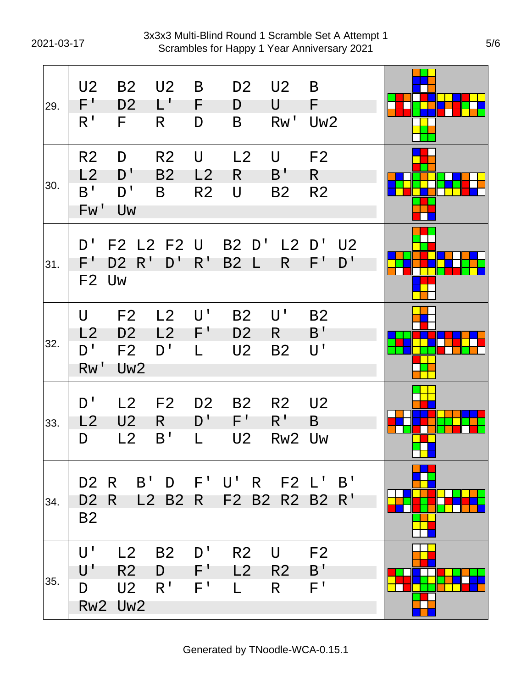2021-03-17 Scrambles for Happy 1 Year Anniversary 2021 3x3x3 Multi-Blind Round 1 Scramble Set A Attempt 1

| 29. | U <sub>2</sub><br>F'<br>R <sup>1</sup>        | B <sub>2</sub><br>D <sub>2</sub><br>F.                                | U <sub>2</sub><br>$L^+$<br>R     | B<br>F.<br>D                          | D <sub>2</sub><br>D<br>B                        | U2<br>U<br>Rw'                              | B<br>F.<br>Uw <sub>2</sub>             |                      |  |
|-----|-----------------------------------------------|-----------------------------------------------------------------------|----------------------------------|---------------------------------------|-------------------------------------------------|---------------------------------------------|----------------------------------------|----------------------|--|
| 30. | R <sub>2</sub><br>L2<br>B <sup>T</sup><br>Fw' | D<br>D'<br>D'<br>Uw                                                   | R <sub>2</sub><br><b>B2</b><br>B | $\bigcup$<br>L2<br>R <sub>2</sub>     | L2<br>R.<br>U                                   | $\mathsf{U}$<br>B <sup>T</sup><br><b>B2</b> | F <sub>2</sub><br>R.<br>R <sub>2</sub> |                      |  |
| 31. | D'<br>F'                                      | F2 L2 F2 U<br>D2 R'<br>F <sub>2</sub> U <sub>w</sub>                  | $D^{\perp}$                      | $R^{\prime}$                          | B2 D'<br><b>B2</b><br>$\lfloor$                 | R.                                          | $L2$ D'<br>$F^{\perp}$                 | U <sub>2</sub><br>D' |  |
| 32. | U<br>L2<br>D'<br>RW'                          | F <sub>2</sub><br>D <sub>2</sub><br>F <sub>2</sub><br>Uw <sub>2</sub> | L2<br>L2<br>D'                   | $\mathsf{U}^{\mathsf{T}}$<br>F'<br>L. | <b>B2</b><br>D <sub>2</sub><br>U <sub>2</sub>   | $\mathsf{U}^{\, \prime}$<br>R.<br><b>B2</b> | <b>B2</b><br>B'<br>U'                  |                      |  |
| 33. | D'<br>L2<br>D                                 | L2<br>U <sub>2</sub><br>L <sub>2</sub>                                | F <sub>2</sub><br>R<br>B'        | D <sub>2</sub><br>D'<br>L             | <b>B2</b><br>$F^+$<br>U2                        | R <sub>2</sub><br>$R^{\perp}$<br>Rw2 Uw     | U <sub>2</sub><br>B                    |                      |  |
| 34. | D <sub>2</sub><br>B <sub>2</sub>              | D2 R<br>R                                                             |                                  |                                       | B' D F' U' R F2 L' B'<br>L2 B2 R F2 B2 R2 B2 R' |                                             |                                        |                      |  |
| 35. | U'<br>$\mathsf{U}^{\, \prime}$<br>D           | L2<br>R <sub>2</sub><br>U2<br>Rw2 Uw2                                 | <b>B2</b><br>D<br>R <sup>T</sup> | D'<br>$F^+$<br>$F^{\perp}$            | R <sub>2</sub><br>L2<br>$\mathbf{L}$            | U<br>R2<br>$\mathsf{R}$                     | F <sub>2</sub><br>B'<br>$F^{\,I}$      |                      |  |

Generated by TNoodle-WCA-0.15.1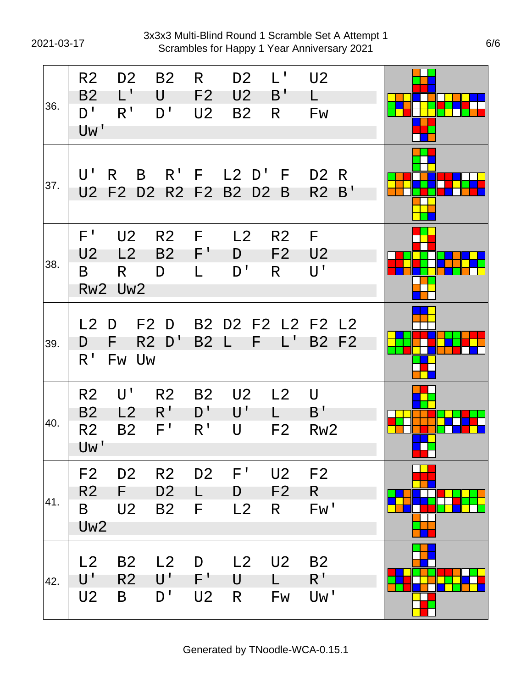2021-03-17 Scrambles for Happy 1 Year Anniversary 2021 3x3x3 Multi-Blind Round 1 Scramble Set A Attempt 1

| 36. | R <sub>2</sub><br><b>B2</b><br>$D^{\perp}$<br>Uw'        | D <sub>2</sub><br>$L^{\prime}$<br>$R^{\prime}$ | <b>B2</b><br>U<br>D'                          | R.<br>F <sub>2</sub><br>U <sub>2</sub>   | D <sub>2</sub><br>U <sub>2</sub><br><b>B2</b> | $L^{\mathsf{T}}$<br>B'<br>R            | U <sub>2</sub><br>L<br><b>Fw</b>                  |    |  |
|-----|----------------------------------------------------------|------------------------------------------------|-----------------------------------------------|------------------------------------------|-----------------------------------------------|----------------------------------------|---------------------------------------------------|----|--|
| 37. | $U^{\perp}$                                              | B<br>$\mathsf{R}$<br>U2 F2 D2 R2 F2 B2         |                                               |                                          | $R'$ F L2 D' F<br>D <sub>2</sub>              | B                                      | D2 R<br>R <sub>2</sub>                            | B' |  |
| 38. | $F^{\prime}$<br>U <sub>2</sub><br>B                      | U <sub>2</sub><br>L2<br>R.<br>Rw2 Uw2          | R <sub>2</sub><br><b>B2</b><br>D              | - F<br>$F^+$<br>L                        | L2<br>D<br>D'                                 | R <sub>2</sub><br>F <sub>2</sub><br>R. | - F<br>U <sub>2</sub><br>$\mathsf{U}^{\, \prime}$ |    |  |
| 39. | L2<br>D<br>$R^{\mathsf{T}}$                              | D<br>F.<br>Fw Uw                               | F2 D<br>$R2$ D'                               | <b>B2</b>                                | B2 D2 F2 L2 F2 L2<br>F<br>$\mathsf{L}$        | L'                                     | <b>B2 F2</b>                                      |    |  |
| 40. | R <sub>2</sub><br><b>B2</b><br>R <sub>2</sub><br>Uw'     | $U^{\perp}$<br>L2<br><b>B2</b>                 | R <sub>2</sub><br>$R^{\prime}$<br>F'          | <b>B2</b><br>$D^{\perp}$<br>$R^{\prime}$ | U <sub>2</sub><br>U'<br>U                     | L2<br>L.<br>F <sub>2</sub>             | $\mathsf{U}$<br>B'<br>Rw <sub>2</sub>             |    |  |
| 41. | F <sub>2</sub><br>R <sub>2</sub><br>B<br>Uw <sub>2</sub> | D <sub>2</sub><br>F.<br>U <sub>2</sub>         | R <sub>2</sub><br>D <sub>2</sub><br><b>B2</b> | D <sub>2</sub><br>F                      | $F^{\prime}$<br>D<br>L2                       | U <sub>2</sub><br>F <sub>2</sub><br>R. | F <sub>2</sub><br>R.<br>Fw'                       |    |  |
| 42. | L2<br>U'<br>U <sub>2</sub>                               | <b>B2</b><br>R <sub>2</sub><br>B               | L2<br>$\mathsf{U}^{\mathsf{r}}$<br>D'         | D<br>$F^+$<br>U2                         | L2<br>U<br>R                                  | U <sub>2</sub><br>L.<br>Fw             | <b>B2</b><br>$R^{\prime}$<br>Uw'                  |    |  |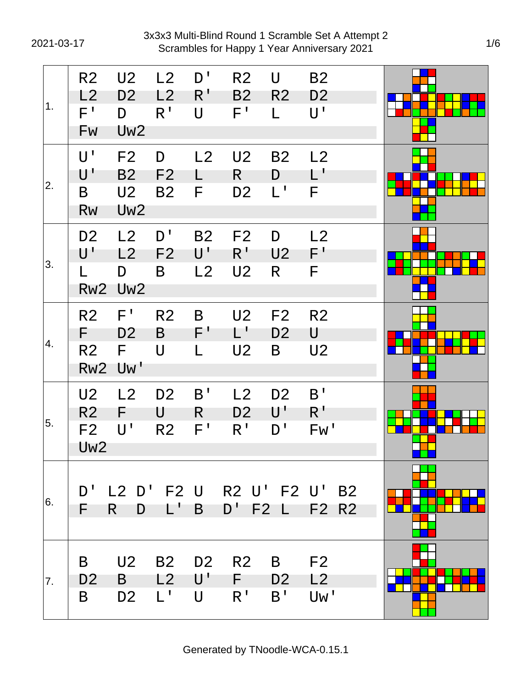2021-03-17 Scrambles for Happy 1 Year Anniversary 2021 3x3x3 Multi-Blind Round 1 Scramble Set A Attempt 2

| 1.  | R <sub>2</sub><br>L2<br>$F^{\intercal}$<br>Fw                         | U <sub>2</sub><br>D <sub>2</sub><br>D<br>Uw <sub>2</sub>  | L2<br>L2<br>$R^{\prime}$              | D'<br>$R^{\prime}$<br>$\mathsf{U}$              | R <sub>2</sub><br>B <sub>2</sub><br>$F^{\prime}$              | U<br>R <sub>2</sub><br>L.                         | <b>B2</b><br>D <sub>2</sub><br>$U^{\perp}$ |  |
|-----|-----------------------------------------------------------------------|-----------------------------------------------------------|---------------------------------------|-------------------------------------------------|---------------------------------------------------------------|---------------------------------------------------|--------------------------------------------|--|
| 2.  | U'<br>$\mathsf{U}^{\, \prime}$<br>B<br><b>Rw</b>                      | F <sub>2</sub><br>B <sub>2</sub><br>U2<br>Uw <sub>2</sub> | D<br>F <sub>2</sub><br><b>B2</b>      | L2<br>F                                         | U <sub>2</sub><br>R.<br>D <sub>2</sub>                        | <b>B2</b><br>D<br>$L^{\mathsf{T}}$                | L2<br>$\mathsf{L}^{\mathsf{r}}$<br>F       |  |
| 3.  | D <sub>2</sub><br>$\mathsf{U}^{\, \prime}$<br>L<br>Rw <sub>2</sub>    | L <sub>2</sub><br>L2<br>D<br>Uw <sub>2</sub>              | D <sup>1</sup><br>F <sub>2</sub><br>B | <b>B2</b><br>$\mathsf{U}^{\mathsf{T}}$<br>L2    | F <sub>2</sub><br>$R^{\prime}$<br>U <sub>2</sub>              | D<br>U <sub>2</sub><br>R                          | L2<br>$F^{\prime}$<br>F                    |  |
| 4.  | R <sub>2</sub><br>F<br>R <sub>2</sub><br>Rw <sub>2</sub>              | $F^{\prime}$<br>D <sub>2</sub><br>F.<br>Uw'               | R <sub>2</sub><br>B<br>$\cup$         | B<br>$\mathsf{F}^+$<br>L                        | U <sub>2</sub><br>$\mathsf{L}^{\mathsf{T}}$<br>U <sub>2</sub> | F2<br>D <sub>2</sub><br>B                         | R <sub>2</sub><br>U<br>U <sub>2</sub>      |  |
| 5.  | U <sub>2</sub><br>R <sub>2</sub><br>F <sub>2</sub><br>Uw <sub>2</sub> | L2<br>F<br>$\mathsf{U}^{\, \prime}$                       | D <sub>2</sub><br>U<br>R <sub>2</sub> | B <sup>T</sup><br>R<br>$F^{\,I}$                | L2<br>D <sub>2</sub><br>R <sup>1</sup>                        | D <sub>2</sub><br>$\mathsf{U}^{\mathsf{T}}$<br>D' | B'<br>$R^{\prime}$<br>Fw'                  |  |
| 16. | D'<br>F                                                               | R<br>D                                                    | $L^{\prime}$                          | B                                               | $D^{\perp}$                                                   | F2L                                               | L2 D' F2 U R2 U' F2 U' B2<br>F2 R2         |  |
| 7.  | B<br>D <sub>2</sub><br>B                                              | U <sub>2</sub><br>B<br>D <sub>2</sub>                     | <b>B2</b><br>L2<br>$L^{\mathsf{T}}$   | D <sub>2</sub><br>$\mathsf{U}^{\, \prime}$<br>U | R <sub>2</sub><br>F.<br>R <sup>1</sup>                        | B<br>D <sub>2</sub><br>B'                         | F <sub>2</sub><br>L <sub>2</sub><br>Uw'    |  |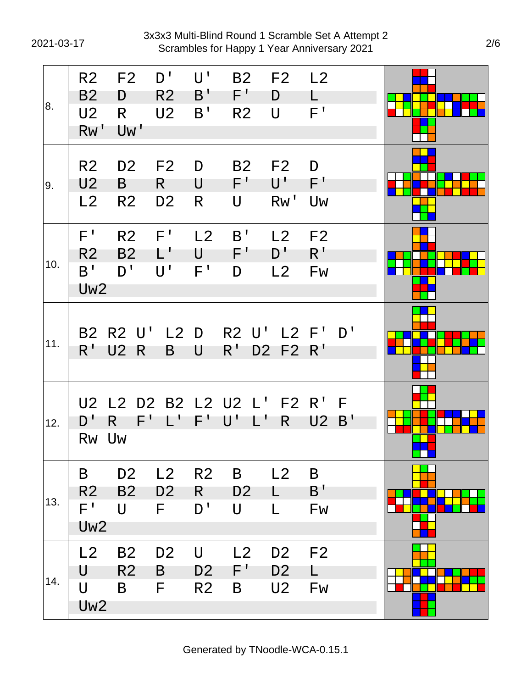| 8.  | R <sub>2</sub><br>B <sub>2</sub><br>U <sub>2</sub><br>RW' | F <sub>2</sub><br>D<br>R.<br>Uw'                 | D'<br>R <sub>2</sub><br>U <sub>2</sub>                  | $U^{\perp}$<br>B'<br>B'                       | <b>B2</b><br>$F^{\perp}$<br>R <sub>2</sub>                           | F2 L2<br>D<br>$\bigcup$                  | L<br>$F^{\perp}$                     |         |                |
|-----|-----------------------------------------------------------|--------------------------------------------------|---------------------------------------------------------|-----------------------------------------------|----------------------------------------------------------------------|------------------------------------------|--------------------------------------|---------|----------------|
| 9.  | R <sub>2</sub><br>U <sub>2</sub><br>L2                    | D <sub>2</sub><br>B<br>R <sub>2</sub>            | F <sub>2</sub><br>R<br>D <sub>2</sub>                   | D<br>U<br>R                                   | <b>B2</b><br>$F^{\prime}$<br>$\bigcup$                               | F2<br>$\mathsf{U}^{\, \prime}$<br>Rw' Uw | D<br>F'                              |         |                |
| 10. | $F^{\prime}$<br>R <sub>2</sub><br>B'<br>Uw <sub>2</sub>   | R <sub>2</sub><br><b>B2</b><br>D'                | $F^{\perp}$<br>$\mathbf{1}^{\mathbf{1}}$<br>$U^{\perp}$ | L2<br>$\mathsf{U}^-$<br>F'                    | B <sup>T</sup><br>$F^+$<br>D                                         | L2<br>$D^{\perp}$<br>L2                  | F <sub>2</sub><br>$R^{\prime}$<br>Fw |         |                |
| 11. | $R^{\perp}$                                               | B2 R2 U' L2 D<br><b>U2 R</b>                     | B                                                       | U                                             | R2 U' L2 F' D'<br>$R^{\perp}$                                        | D2 F2 R'                                 |                                      |         |                |
| 12. | U2<br>D'<br>Rw Uw                                         | F'<br>R.                                         | $\mathsf{L}^{\mathsf{T}}$                               | $F^+$                                         | L2 D2 B2 L2 U2 L' F2 R'<br>$\mathsf{U}^{\mathsf{T}}$<br>$\mathbf{L}$ | R.                                       | U <sub>2</sub>                       | E<br>B' | <b>College</b> |
| 13. | B<br>R <sub>2</sub><br>$F^{\, \prime}$<br>Uw <sub>2</sub> | D <sub>2</sub><br>B <sub>2</sub><br>$\mathsf{U}$ | L2<br>D <sub>2</sub><br>F.                              | R2<br>$\mathsf{R}^-$<br>D'                    | B<br>D <sub>2</sub><br>$\bigcup$                                     | L2<br>$\mathsf{L}$<br>L                  | B<br>B'<br>Fw                        |         |                |
| 14. | L2<br>U<br>$\bigcup$<br>Uw <sub>2</sub>                   | <b>B2</b><br>R <sub>2</sub><br>B                 | D <sub>2</sub><br>B<br>F                                | $\bigcup$<br>D <sub>2</sub><br>R <sub>2</sub> | L2<br>$\mathsf{F}^+$<br>B                                            | D <sub>2</sub><br>D <sub>2</sub><br>U2   | F <sub>2</sub><br>L.<br><b>Fw</b>    |         |                |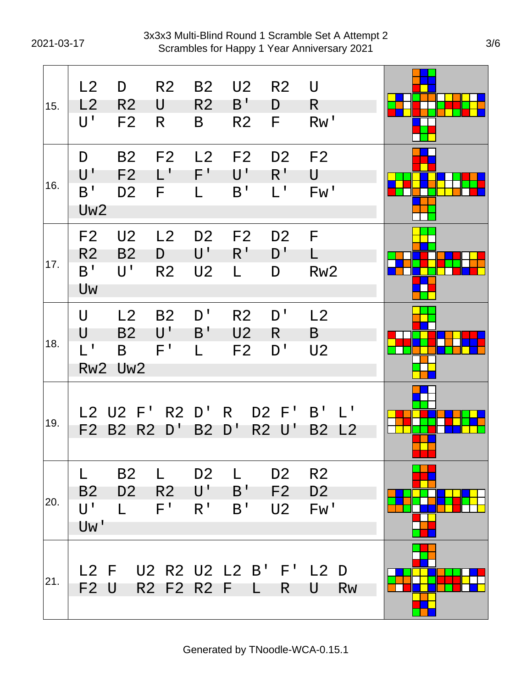2021-03-17 Scrambles for Happy 1 Year Anniversary 2021 3x3x3 Multi-Blind Round 1 Scramble Set A Attempt 2

| 15. | L2<br>L2<br>$\mathsf{U}^{\, \prime}$                     | D<br>R <sub>2</sub><br>F <sub>2</sub>         | R <sub>2</sub><br>U<br>R                     | <b>B2</b><br>R <sub>2</sub><br>B                              | U2<br>$B^{\prime}$<br>R <sub>2</sub>               | R <sub>2</sub><br>D<br>F               | U<br>R<br>RW'                                                           |  |
|-----|----------------------------------------------------------|-----------------------------------------------|----------------------------------------------|---------------------------------------------------------------|----------------------------------------------------|----------------------------------------|-------------------------------------------------------------------------|--|
| 16. | D<br>$\mathsf{U}^+$<br>B <sup>T</sup><br>Uw <sub>2</sub> | <b>B2</b><br>F <sub>2</sub><br>D <sub>2</sub> | F <sub>2</sub><br>$\mathsf{L}^+$<br>F.       | L2<br>$\mathsf{F}^+$<br>L                                     | F2<br>$\mathsf{U}^{\, \prime}$<br>B'               | D <sub>2</sub><br>$R^{\perp}$<br>$L^1$ | F <sub>2</sub><br>U<br>Fw'                                              |  |
| 17. | F <sub>2</sub><br>R <sub>2</sub><br>B'<br>Uw             | U <sub>2</sub><br>B <sub>2</sub><br>U'        | L <sub>2</sub><br>D<br>R <sub>2</sub>        | D <sub>2</sub><br>U'<br>U <sub>2</sub>                        | F <sub>2</sub><br>R <sup>T</sup><br>L              | D <sub>2</sub><br>D'<br>D              | F<br>L<br>Rw <sub>2</sub>                                               |  |
| 18. | $\cup$<br>U<br>$L^1$                                     | L2<br><b>B2</b><br>B<br>Rw2 Uw2               | <b>B2</b><br>$\mathsf{U}^{\mathsf{T}}$<br>F' | D'<br>B'<br>$\mathsf{L}$                                      | R <sub>2</sub><br>U <sub>2</sub><br>F <sub>2</sub> | D'<br>R.<br>D'                         | L2<br>B<br>U <sub>2</sub>                                               |  |
| 19. |                                                          | F2 B2 R2                                      | L2 U2 F' R2 D' R<br>$D^{\perp}$              | <b>B2</b>                                                     | D'                                                 | D2 F'<br><b>R2 U'</b>                  | $B^{\perp}$<br>$\mathbf{1}^{\mathbf{1}}$<br><b>B2</b><br>L <sub>2</sub> |  |
| 20. | L<br><b>B2</b><br>U'<br>Uw'                              | <b>B2</b><br>D <sub>2</sub><br>$\mathbf{L}$   | L.<br>R <sub>2</sub><br>$F^{\perp}$          | D <sub>2</sub><br>$\mathsf{U}^{\mathsf{T}}$<br>R <sup>1</sup> | L.<br>B'<br>B'                                     | D <sub>2</sub><br>F2<br>U2             | R <sub>2</sub><br>D <sub>2</sub><br>Fw'                                 |  |
| 21. | F <sub>2</sub> U                                         |                                               |                                              |                                                               | R2 F2 R2 F L                                       | R                                      | L2 F U2 R2 U2 L2 B' F' L2 D<br>U<br><b>Rw</b>                           |  |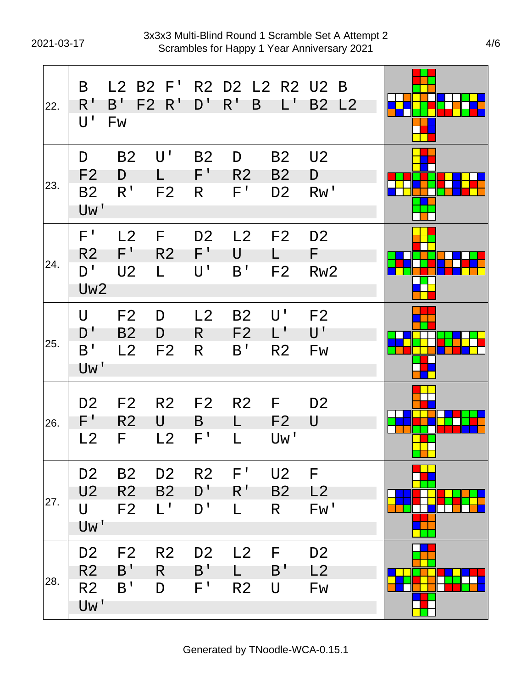| 22. | B<br>R'<br>$\mathsf{U}^{\, \prime}$                       | $B^{\prime}$<br>Fw                                 | $L2$ B2 $F'$<br>F2 R'                      | $D^{\perp}$                                      | $R^{\prime}$<br>B                               | L'                                       | R2 D2 L2 R2 U2 B<br>B2 L2                         |  |
|-----|-----------------------------------------------------------|----------------------------------------------------|--------------------------------------------|--------------------------------------------------|-------------------------------------------------|------------------------------------------|---------------------------------------------------|--|
| 23. | D<br>F <sub>2</sub><br><b>B2</b><br>Uw'                   | <b>B2</b><br>D<br>R <sup>T</sup>                   | $\mathsf{U}^{\, \prime}$<br>F <sub>2</sub> | B <sub>2</sub><br>$F^+$<br>R.                    | D<br>R <sub>2</sub><br>$\mathsf{F}^{\, \prime}$ | <b>B2</b><br><b>B2</b><br>D <sub>2</sub> | U <sub>2</sub><br>D<br>RW'                        |  |
| 24. | F'<br>R <sub>2</sub><br>D'<br>Uw <sub>2</sub>             | L <sub>2</sub><br>$F^+$<br>U <sub>2</sub>          | F<br>R <sub>2</sub><br>L.                  | D <sub>2</sub><br>$F^+$<br>$U^{\perp}$           | L2<br>U<br>B'                                   | F2<br>F <sub>2</sub>                     | D <sub>2</sub><br>F.<br>Rw <sub>2</sub>           |  |
| 25. | $\mathsf{U}$<br>D'<br>B'<br>Uw'                           | F <sub>2</sub><br>B <sub>2</sub><br>L <sub>2</sub> | D<br>D<br>F <sub>2</sub>                   | L2<br>R.<br>R                                    | <b>B2</b><br>F <sub>2</sub><br>B'               | U'<br>$L^{\perp}$<br>R <sub>2</sub>      | F <sub>2</sub><br>$\mathsf{U}^{\mathsf{T}}$<br>Fw |  |
| 26. | D <sub>2</sub><br>$F^{\perp}$<br>L <sub>2</sub>           | F <sub>2</sub><br>R <sub>2</sub><br>F.             | R <sub>2</sub><br>U<br>L2                  | F <sub>2</sub><br>B<br>$\mathsf{F}$ !            | R <sub>2</sub><br>L.<br>L                       | F<br>F <sub>2</sub><br>Uw'               | D <sub>2</sub><br>U                               |  |
| 27. | D <sub>2</sub><br>U <sub>2</sub><br>U<br>Uw'              | <b>B2</b><br>R <sub>2</sub><br>F <sub>2</sub>      | D <sub>2</sub><br><b>B2</b><br>$L^1$       | R <sub>2</sub><br>$D^{\dagger}$<br>D'            | $F^{\perp}$<br>R <sup>T</sup><br>L.             | U <sub>2</sub><br>B <sub>2</sub><br>R.   | F<br>L2<br>Fw'                                    |  |
| 28. | D <sub>2</sub><br>R <sub>2</sub><br>R <sub>2</sub><br>Uw' | F <sub>2</sub><br>B'<br>B'                         | R <sub>2</sub><br>R<br>D                   | D <sub>2</sub><br>$B^{\prime}$<br>$\mathsf{F}^+$ | L2<br>L.<br>R <sub>2</sub>                      | F<br>B'<br>U                             | D <sub>2</sub><br>L2<br>Fw                        |  |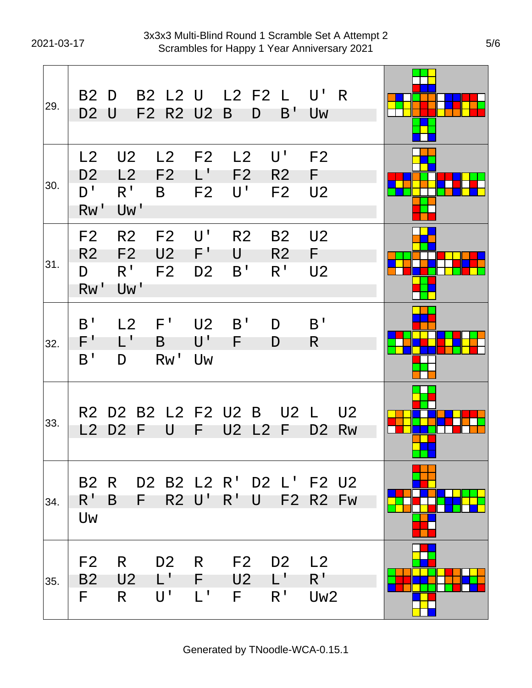| 29. | <b>B2</b><br><b>D2 U</b>                     | D                                               | B2 L2 U L2 F2 L<br>F2 R2 U2 B                              |                                                    |                            | B'<br>D                                          | $U'$ R<br>Uw                                     |                             |  |
|-----|----------------------------------------------|-------------------------------------------------|------------------------------------------------------------|----------------------------------------------------|----------------------------|--------------------------------------------------|--------------------------------------------------|-----------------------------|--|
| 30. | L2<br>D <sub>2</sub><br>D'<br>RW'            | U <sub>2</sub><br>L2<br>R <sup>T</sup><br>Uw'   | L <sub>2</sub><br>F <sub>2</sub><br>B                      | F <sub>2</sub><br>$\mathsf{L}^+$<br>F <sub>2</sub> | L2<br>F <sub>2</sub><br>U' | U'<br>R <sub>2</sub><br>F <sub>2</sub>           | F <sub>2</sub><br>F.<br>U <sub>2</sub>           |                             |  |
| 31. | F <sub>2</sub><br>R <sub>2</sub><br>D<br>Rw' | R <sub>2</sub><br>F2<br>$R^{\mathsf{T}}$<br>Uw' | F <sub>2</sub><br>U2<br>F <sub>2</sub>                     | U'<br>F'<br>D <sub>2</sub>                         | R <sub>2</sub><br>U<br>B'  | <b>B2</b><br>R <sub>2</sub><br>R <sup>T</sup>    | U <sub>2</sub><br>F<br>U <sub>2</sub>            |                             |  |
| 32. | B'<br>F'<br>B'                               | L2<br>$\mathsf{L}^{\mathsf{T}}$<br>D            | $F^{\prime}$<br>B<br>Rw'                                   | U <sub>2</sub><br>$\mathsf{U}^{\, \prime}$<br>Uw   | B'<br>F.                   | D<br>D                                           | B'<br>R                                          |                             |  |
| 33. | L2                                           | D2 F                                            | R2 D2 B2 L2 F2 U2 B<br>U                                   | F                                                  | U2 L2                      | U2 L<br>F                                        | D <sub>2</sub>                                   | U <sub>2</sub><br><b>Rw</b> |  |
| 34. | <b>B2</b><br>$R^1$<br>Uw                     | B                                               | $F =$                                                      | <b>R2 U'</b>                                       | $R^{\perp}$                | R D2 B2 L2 R' D2 L' F2 U2<br>U F2 R2 Fw          |                                                  |                             |  |
| 35. | F <sub>2</sub><br>B <sub>2</sub><br>F.       | $\mathsf{R}$<br>U <sub>2</sub><br>$R_{\perp}$   | D <sub>2</sub><br>$L^{\perp}$<br>$\mathsf{U}^{\mathsf{T}}$ | R<br>F<br>$\mathsf{L}^{\mathsf{T}}$                | F2<br>U <sub>2</sub><br>F. | D <sub>2</sub><br>$L^{\prime}$<br>R <sup>T</sup> | L <sub>2</sub><br>$R^{\perp}$<br>Uw <sub>2</sub> |                             |  |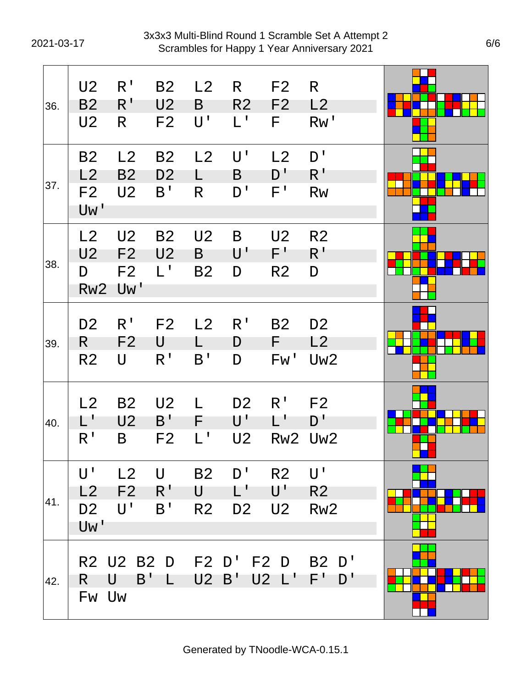2021-03-17 Scrambles for Happy 1 Year Anniversary 2021 3x3x3 Multi-Blind Round 1 Scramble Set A Attempt 2

| 36. | U <sub>2</sub><br><b>B2</b><br>U <sub>2</sub> | R <sup>1</sup><br>$R^{\prime}$<br>R.                      | <b>B2</b><br>U <sub>2</sub><br>F <sub>2</sub> | L2<br>B<br>$U^{\perp}$                 | R<br>R <sub>2</sub><br>$L^1$                                 | F <sub>2</sub><br>F <sub>2</sub><br>F.                       | R.<br>L2<br>Rw'                                               |  |
|-----|-----------------------------------------------|-----------------------------------------------------------|-----------------------------------------------|----------------------------------------|--------------------------------------------------------------|--------------------------------------------------------------|---------------------------------------------------------------|--|
| 37. | B <sub>2</sub><br>L2<br>F <sub>2</sub><br>Uw' | L2<br><b>B2</b><br>U <sub>2</sub>                         | <b>B2</b><br>D <sub>2</sub><br>B'             | L2<br>L<br>R                           | $U^{\perp}$<br>B<br>D'                                       | L2<br>$D^{\prime}$<br>$F^{\prime}$                           | D'<br>$R^{\,I}$<br><b>Rw</b>                                  |  |
| 38. | L2<br>U <sub>2</sub><br>D<br>Rw <sub>2</sub>  | U <sub>2</sub><br>F <sub>2</sub><br>F <sub>2</sub><br>Uw' | <b>B2</b><br>U <sub>2</sub><br>$L^{\perp}$    | U <sub>2</sub><br>B<br><b>B2</b>       | B<br>$\mathsf{U}^{\mathsf{T}}$<br>D                          | U <sub>2</sub><br>$F^+$<br>R <sub>2</sub>                    | R <sub>2</sub><br>$R^1$<br>D                                  |  |
| 39. | D <sub>2</sub><br>R.<br>R <sub>2</sub>        | R <sup>1</sup><br>F <sub>2</sub><br>U                     | F <sub>2</sub><br>U<br>R'                     | L2<br>B'                               | R <sup>1</sup><br>D<br>D                                     | <b>B2</b><br>F<br>Fw'                                        | D <sub>2</sub><br>L2<br>Uw <sub>2</sub>                       |  |
| 40. | L2<br>L'<br>R <sup>1</sup>                    | <b>B2</b><br>U <sub>2</sub><br>B                          | U <sub>2</sub><br>B'<br>F <sub>2</sub>        | $\mathbf{L}$<br>F.<br>$L^{\mathsf{T}}$ | D <sub>2</sub><br>$\mathsf{U}^{\, \prime}$<br>U <sub>2</sub> | R <sup>1</sup><br>L'<br>Rw <sub>2</sub>                      | F <sub>2</sub><br>D'<br>Uw <sub>2</sub>                       |  |
| 41. | U'<br>L2<br>D <sub>2</sub><br>Uw'             | L2<br>F <sub>2</sub><br>U'                                | $\bigcup$<br>R'<br>B'                         | <b>B2</b><br>U<br>R <sub>2</sub>       | D'<br>L'<br>D <sub>2</sub>                                   | R <sub>2</sub><br>$\mathsf{U}^{\, \prime}$<br>U <sub>2</sub> | $\mathsf{U}^{\, \prime}$<br>R <sub>2</sub><br>Rw <sub>2</sub> |  |
| 42. | R.<br>Fw Uw                                   | R2 U2 B2 D<br>B'<br>U                                     | $\mathsf{L}$                                  |                                        | U2 B' U2 L'                                                  | F2 D' F2 D                                                   | B2 D'<br>F'<br>D'                                             |  |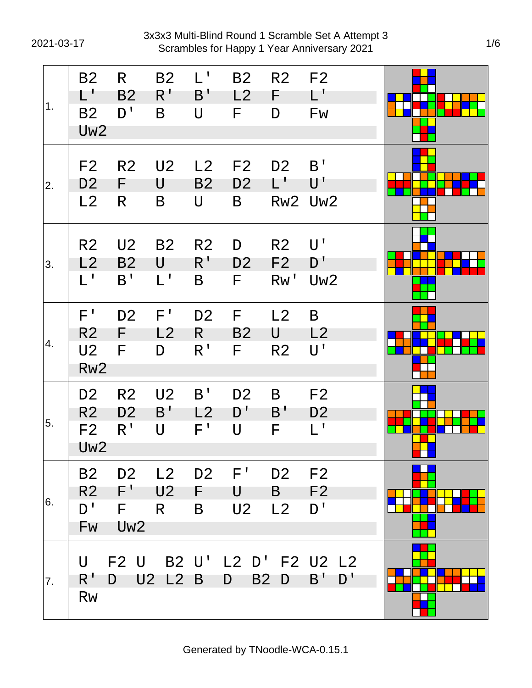2021-03-17 Scrambles for Happy 1 Year Anniversary 2021 3x3x3 Multi-Blind Round 1 Scramble Set A Attempt 3

| 1. | B <sub>2</sub><br>$L^+$<br>B <sub>2</sub><br>Uw <sub>2</sub>          | R<br>B <sub>2</sub><br>D'                               | <b>B2</b><br>$R^{\prime}$<br>B              | $L^{\perp}$<br>B'<br>U                 | <b>B2</b><br>L2<br>F.                            | R <sub>2</sub><br>F<br>D                            | F <sub>2</sub><br>$L^{\prime}$<br>Fw                 |  |
|----|-----------------------------------------------------------------------|---------------------------------------------------------|---------------------------------------------|----------------------------------------|--------------------------------------------------|-----------------------------------------------------|------------------------------------------------------|--|
| 2. | F <sub>2</sub><br>D <sub>2</sub><br>L2                                | R <sub>2</sub><br>F<br>R                                | U <sub>2</sub><br>U<br>B                    | L2<br>B <sub>2</sub><br>U              | F <sub>2</sub><br>D <sub>2</sub><br>B            | D <sub>2</sub><br>$L^+$                             | B'<br>$\mathsf{U}^{\, \prime}$<br>Rw2 Uw2            |  |
| 3. | R <sub>2</sub><br>L2<br>$L^{\perp}$                                   | U <sub>2</sub><br>B <sub>2</sub><br>B'                  | <b>B2</b><br>U<br>$\mathsf{L}^{\mathsf{T}}$ | R <sub>2</sub><br>$R^{\,I}$<br>B       | D<br>D <sub>2</sub><br>F                         | R <sub>2</sub><br>F <sub>2</sub><br>RW <sup>T</sup> | $U^{\perp}$<br>D'<br>Uw <sub>2</sub>                 |  |
| 4. | $F^{\prime}$<br>R <sub>2</sub><br>U <sub>2</sub><br>Rw <sub>2</sub>   | D <sub>2</sub><br>F<br>F                                | F'<br>L2<br>D                               | D <sub>2</sub><br>R.<br>R <sup>T</sup> | F<br><b>B2</b><br>F.                             | L2<br>U<br>R <sub>2</sub>                           | B<br>L2<br>$\mathsf{U}^{\, \prime}$                  |  |
| 5. | D <sub>2</sub><br>R <sub>2</sub><br>F <sub>2</sub><br>Uw <sub>2</sub> | R <sub>2</sub><br>D <sub>2</sub><br>R <sup>1</sup>      | U <sub>2</sub><br>B'<br>$\mathsf{U}$        | B'<br>L <sub>2</sub><br>$F^{\prime}$   | D <sub>2</sub><br>$D^{\prime}$<br>$\overline{U}$ | B<br>B'<br>F                                        | F <sub>2</sub><br>D <sub>2</sub><br>$L^{\mathsf{T}}$ |  |
| 6. | <b>B2</b><br>R2<br>$D^{\perp}$<br>Fw                                  | D <sub>2</sub><br>$F^{\prime}$<br>F.<br>Uw <sub>2</sub> | L2<br>U2<br>R.                              | D <sub>2</sub><br>F.<br>B              | $F^{\prime}$<br>U<br>U <sub>2</sub>              | D <sub>2</sub><br>$\mathsf{B}$<br>L2                | F <sub>2</sub><br>F <sub>2</sub><br>D'               |  |
| 7. | U<br>R'<br><b>Rw</b>                                                  | D U2 L2 B                                               |                                             |                                        | D                                                | B <sub>2</sub> D                                    | F2 U B2 U' L2 D' F2 U2 L2<br>$B'$ $D'$               |  |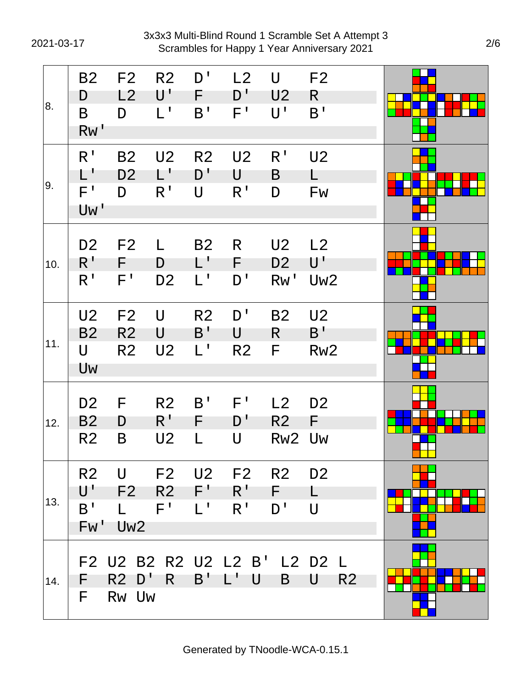2021-03-17 Scrambles for Happy 1 Year Anniversary 2021 3x3x3 Multi-Blind Round 1 Scramble Set A Attempt 3

| 8.  | B <sub>2</sub><br>D<br>B<br>Rw'                         | F <sub>2</sub><br>L2<br>D                          | R <sub>2</sub><br>U'<br>$L^1$          | D'<br>F.<br>B'                                       | L2<br>D <sup>T</sup><br>$F^1$                          | U<br>U <sub>2</sub><br>U'               | F <sub>2</sub><br>R<br>B <sup>T</sup>               |  |
|-----|---------------------------------------------------------|----------------------------------------------------|----------------------------------------|------------------------------------------------------|--------------------------------------------------------|-----------------------------------------|-----------------------------------------------------|--|
| 9.  | R <sup>1</sup><br>$L^{\mathsf{T}}$<br>$F^{\,I}$<br>Uw'  | <b>B2</b><br>D <sub>2</sub><br>D                   | U <sub>2</sub><br>L'<br>R <sup>1</sup> | R <sub>2</sub><br>D'<br>U                            | U <sub>2</sub><br>U<br>R <sup>T</sup>                  | R <sup>1</sup><br>B<br>D                | U <sub>2</sub><br>L.<br>Fw                          |  |
| 10. | D <sub>2</sub><br>$R^1$<br>R <sup>1</sup>               | F <sub>2</sub><br>F<br>$F^{\perp}$                 | L<br>D<br>D <sub>2</sub>               | B <sub>2</sub><br>$\mathsf{L}^+$<br>$L^{\mathsf{T}}$ | R<br>F.<br>D'                                          | U <sub>2</sub><br>D <sub>2</sub><br>Rw' | L2<br>$\mathsf{U}^{\mathsf{T}}$<br>Uw <sub>2</sub>  |  |
| 11. | U <sub>2</sub><br><b>B2</b><br>U<br>Uw                  | F <sub>2</sub><br>R <sub>2</sub><br>R <sub>2</sub> | U<br>U<br>U <sub>2</sub>               | R <sub>2</sub><br>B'<br>$L^{\mathsf{T}}$             | D'<br>U<br>R <sub>2</sub>                              | <b>B2</b><br>R.<br>F                    | U <sub>2</sub><br>B <sup>T</sup><br>Rw <sub>2</sub> |  |
| 12. | D <sub>2</sub><br>B <sub>2</sub><br>R <sub>2</sub>      | F<br>D<br>B                                        | R <sub>2</sub><br>$R^{\prime}$<br>U2   | B'<br>F<br>L                                         | $F^{\perp}$<br>D'<br>U                                 | L2<br>R <sub>2</sub><br>Rw <sub>2</sub> | D <sub>2</sub><br>F.<br>Uw                          |  |
| 13. | R <sub>2</sub><br>$\mathsf{U}^{\, \prime}$<br>B'<br>Fw' | U<br>F2<br>$\mathsf{L}$<br>Uw2                     | $F^{\perp}$                            | $L^{\perp}$                                          | F2 U2 F2 R2 D2<br>$R2$ $F'$ $R'$ $F$<br>R <sup>T</sup> | D'                                      | $\mathsf{L}$<br>$\bigcup$                           |  |
| 14. | F.<br>F.                                                | $R2$ D'<br>Rw Uw                                   | $R_{\parallel}$                        | B'                                                   | L'U                                                    | $\mathsf{B}$                            | F2 U2 B2 R2 U2 L2 B' L2 D2 L<br>U<br>R <sub>2</sub> |  |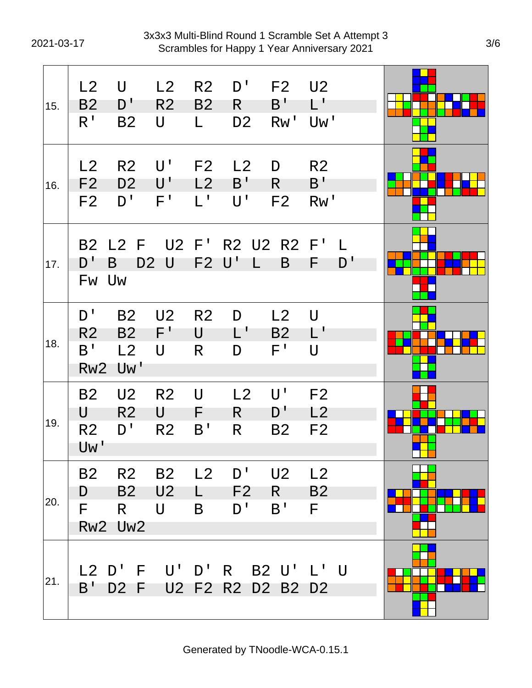| 15. | L2<br><b>B2</b><br>$R^{\prime}$               | U<br>D'<br><b>B2</b>                     | L2<br>R <sub>2</sub><br>U                                  | R <sub>2</sub><br>B <sub>2</sub><br>L. | D'<br>R.<br>D <sub>2</sub>                              | F <sub>2</sub><br>B'<br>RW <sup>T</sup>     | U2<br>$L^+$<br>Uw'                        |  |
|-----|-----------------------------------------------|------------------------------------------|------------------------------------------------------------|----------------------------------------|---------------------------------------------------------|---------------------------------------------|-------------------------------------------|--|
| 16. | L2<br>F <sub>2</sub><br>F <sub>2</sub>        | R <sub>2</sub><br>D <sub>2</sub><br>D'   | $\mathsf{U}^{\, \prime}$<br>$\mathsf{U}^{\, \prime}$<br>F' | F <sub>2</sub><br>L2<br>$L^1$          | L2<br>B'<br>U'                                          | D<br>R.<br>F <sub>2</sub>                   | R <sub>2</sub><br>$B^{\prime}$<br>Rw'     |  |
| 17. | <b>B2</b><br>D'                               | B<br>Fw Uw                               | D <sub>2</sub> U                                           | F2 U'                                  | L2 F U2 F' R2 U2 R2 F'<br>L                             | B                                           | $\mathbf{I}$<br>D'<br>F                   |  |
| 18. | D'<br>R <sub>2</sub><br>B'<br>Rw <sub>2</sub> | <b>B2</b><br>B <sub>2</sub><br>L2<br>Uw' | U <sub>2</sub><br>F'<br>U                                  | R <sub>2</sub><br>U<br>R               | D<br>$\mathsf{L}^{\mathsf{T}}$<br>D                     | L2<br><b>B2</b><br>$F^{\perp}$              | $\mathsf{U}$<br>$L^{\prime}$<br>$\bigcup$ |  |
| 19. | <b>B2</b><br>U<br>R <sub>2</sub><br>Uw'       | U <sub>2</sub><br>R <sub>2</sub><br>D'   | R <sub>2</sub><br>U<br>R <sub>2</sub>                      | U<br>F.<br>B <sup>T</sup>              | L2<br>R.<br>R                                           | $\mathsf{U}^{\, \prime}$<br>D'<br><b>B2</b> | F <sub>2</sub><br>L2<br>F <sub>2</sub>    |  |
| 20. | F.                                            | D B2 U2<br>R<br>Rw2 Uw2                  | $U$ B                                                      | L.                                     | B2 R2 B2 L2 D' U2 L2<br>$D^{\prime}$                    | F2 R B2<br>$B'$ F                           |                                           |  |
| 21. |                                               |                                          |                                                            |                                        | L2 D' F U' D' R B2 U' L' U<br>B' D2 F U2 F2 R2 D2 B2 D2 |                                             |                                           |  |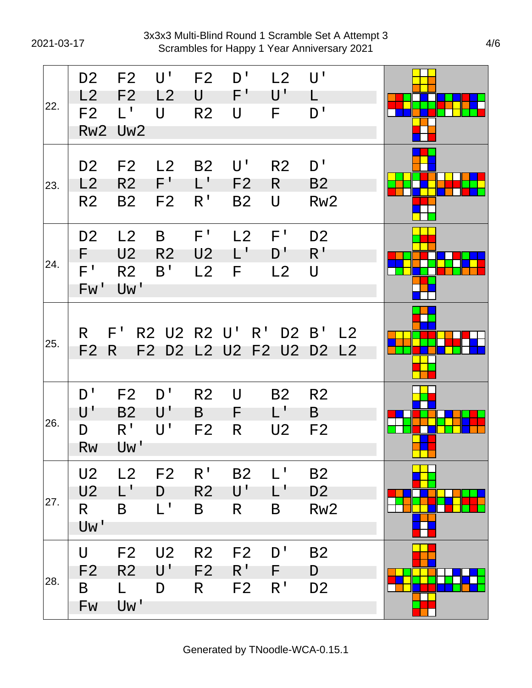2021-03-17 Scrambles for Happy 1 Year Anniversary 2021 3x3x3 Multi-Blind Round 1 Scramble Set A Attempt 3

| 22. | D <sub>2</sub><br>L2<br>F <sub>2</sub><br>Rw <sub>2</sub> | F <sub>2</sub><br>F <sub>2</sub><br>$L^1$<br>Uw <sub>2</sub> | $\mathsf{U}^{\mathsf{T}}$<br>L2<br>U                       | F <sub>2</sub><br>U<br>R <sub>2</sub> | D'<br>F'<br>U                                           | L2<br>$\mathsf{U}^{\, \prime}$<br>F | $\mathsf{U}^{\, \prime}$<br>L<br>D'                |  |
|-----|-----------------------------------------------------------|--------------------------------------------------------------|------------------------------------------------------------|---------------------------------------|---------------------------------------------------------|-------------------------------------|----------------------------------------------------|--|
| 23. | D <sub>2</sub><br>L2<br>R <sub>2</sub>                    | F <sub>2</sub><br>R <sub>2</sub><br><b>B2</b>                | L <sub>2</sub><br>$F^{\prime}$<br>F <sub>2</sub>           | <b>B2</b><br>$L^+$<br>R <sup>T</sup>  | $\mathsf{U}^{\, \prime}$<br>F <sub>2</sub><br><b>B2</b> | R <sub>2</sub><br>R.<br>U           | D'<br>B <sub>2</sub><br>Rw <sub>2</sub>            |  |
| 24. | D <sub>2</sub><br>F.<br>$\mathsf{F}^{\, \prime}$<br>Fw'   | L <sub>2</sub><br>U <sub>2</sub><br>R <sub>2</sub><br>Uw'    | B<br>R <sub>2</sub><br>B'                                  | $F^{\prime}$<br>U <sub>2</sub><br>L2  | L2<br>L'<br>F                                           | F'<br>D'<br>L2                      | D <sub>2</sub><br>R <sup>T</sup><br>U              |  |
| 25. | R.<br>F <sub>2</sub>                                      | $F^{\perp}$<br>R.                                            | R2 U2 R2 U'<br>F2                                          |                                       | $R^1$<br>D2 L2 U2 F2 U2                                 | D2 B'                               | L <sub>2</sub><br>D <sub>2</sub><br>L <sub>2</sub> |  |
| 26. | D'<br>$\mathsf{U}^{\,\prime}$<br>D<br>Rw                  | F <sub>2</sub><br><b>B2</b><br>$R^{\prime}$<br>Uw'           | D'<br>$\mathsf{U}^{\, \prime}$<br>$\mathsf{U}^{\, \prime}$ | R <sub>2</sub><br>B<br>F <sub>2</sub> | U<br>F<br>R                                             | <b>B2</b><br>L'<br>U <sub>2</sub>   | R <sub>2</sub><br>B<br>F <sub>2</sub>              |  |
| 27. | U <sub>2</sub><br>U <sub>2</sub><br>R.<br>Uw'             | L2<br>$\mathsf{L}^{\mathsf{T}}$<br>B                         | F <sub>2</sub><br>D<br>$L^{\perp}$                         | $R^{\prime}$<br>R <sub>2</sub><br>B   | <b>B2</b><br>$\mathsf{U}^{\, \prime}$<br>R              | $L^1$<br>$\mathsf{L}$<br>B          | <b>B2</b><br>D <sub>2</sub><br>Rw <sub>2</sub>     |  |
| 28. | U<br>F <sub>2</sub><br>B<br>Fw                            | F <sub>2</sub><br>R <sub>2</sub><br>L.<br>Uw'                | U <sub>2</sub><br>U'<br>D                                  | R <sub>2</sub><br>F <sub>2</sub><br>R | F <sub>2</sub><br>$R^{\mathsf{T}}$<br>F <sub>2</sub>    | D'<br>F.<br>R <sup>1</sup>          | <b>B2</b><br>D<br>D <sub>2</sub>                   |  |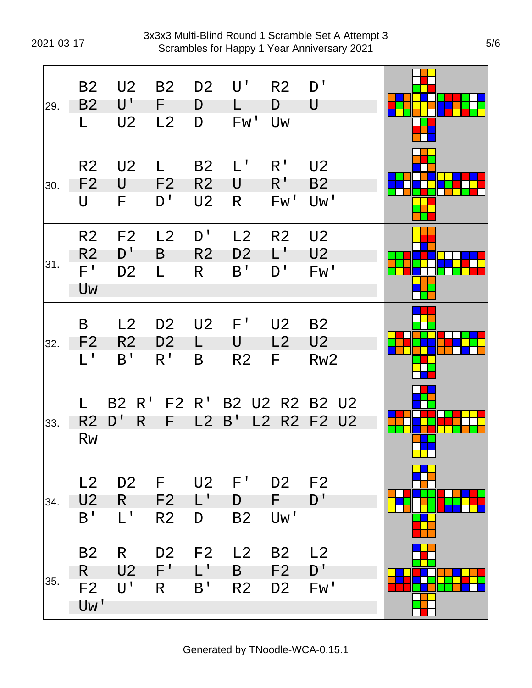| 29. | <b>B2</b><br>B <sub>2</sub><br>L                      | U <sub>2</sub><br>$\mathsf{U}^{\mathsf{T}}$<br>U <sub>2</sub> | <b>B2</b><br>F<br>L <sub>2</sub>                 | D <sub>2</sub><br>D<br>D                           | U'<br>L<br>Fw'                         | R <sub>2</sub><br>D<br>Uw                     | D'<br>U                                        |  |
|-----|-------------------------------------------------------|---------------------------------------------------------------|--------------------------------------------------|----------------------------------------------------|----------------------------------------|-----------------------------------------------|------------------------------------------------|--|
| 30. | R <sub>2</sub><br>F <sub>2</sub><br>$\mathsf{U}$      | U <sub>2</sub><br>U<br>F                                      | L<br>F <sub>2</sub><br>D'                        | B <sub>2</sub><br>R <sub>2</sub><br>U <sub>2</sub> | $L^{\mathsf{T}}$<br>U<br>R             | R <sup>1</sup><br>$R^{\mathrm{r}}$<br>Fw'     | U <sub>2</sub><br><b>B2</b><br>Uw'             |  |
| 31. | R <sub>2</sub><br>R <sub>2</sub><br>$F^{\perp}$<br>Uw | F <sub>2</sub><br>D'<br>D <sub>2</sub>                        | L <sub>2</sub><br>B<br>L                         | D'<br>R <sub>2</sub><br>R                          | L <sub>2</sub><br>D <sub>2</sub><br>B' | R <sub>2</sub><br>L'<br>D'                    | U <sub>2</sub><br>U <sub>2</sub><br>FW'        |  |
| 32. | B<br>F <sub>2</sub><br>$L^1$                          | L2<br>R <sub>2</sub><br>B'                                    | D <sub>2</sub><br>D <sub>2</sub><br>$R^{\prime}$ | U <sub>2</sub><br>B                                | $F^{\prime}$<br>U<br>R <sub>2</sub>    | U <sub>2</sub><br>L2<br>F.                    | <b>B2</b><br>U <sub>2</sub><br>Rw <sub>2</sub> |  |
| 33. | R <sub>2</sub><br><b>Rw</b>                           | <b>B2</b> R'<br>D'<br>R.                                      | F2 R'<br>F                                       | L2                                                 | B'                                     | L2                                            | B2 U2 R2 B2 U2<br>R2 F2 U2                     |  |
| 34. | L2<br>U <sub>2</sub><br>B'                            | D <sub>2</sub><br>R<br>$L^1$                                  | F.<br>F <sub>2</sub><br>R <sub>2</sub>           | U <sub>2</sub><br>$L^+$<br>D                       | $F^{\prime}$<br>D<br><b>B2</b>         | D <sub>2</sub> F <sub>2</sub><br>F.<br>Uw'    | D'                                             |  |
| 35. | <b>B2</b><br>R<br>F2<br>Uw'                           | R.<br>U <sub>2</sub><br>U'                                    | D <sub>2</sub><br>$F^+$<br>R                     | F <sub>2</sub><br>L'<br>B <sup>T</sup>             | L2<br>B<br>R <sub>2</sub>              | <b>B2</b><br>F <sub>2</sub><br>D <sub>2</sub> | L2<br>D'<br>Fw'                                |  |